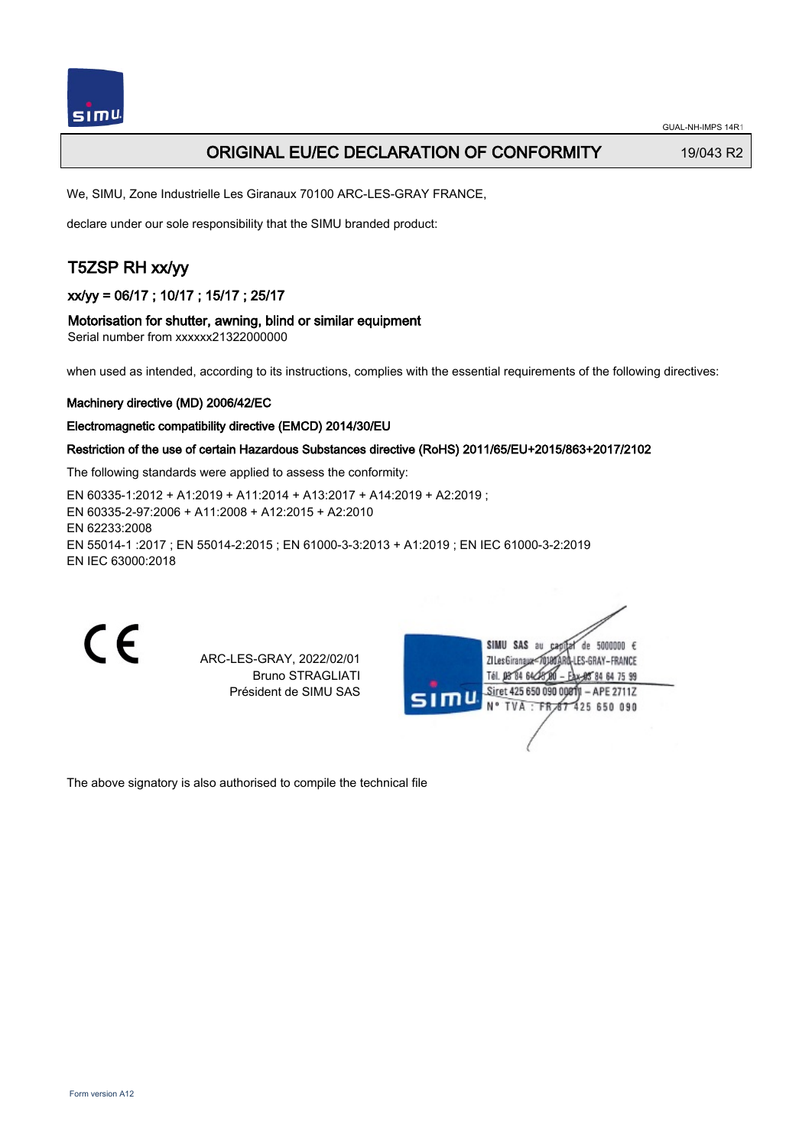

## ORIGINAL EU/EC DECLARATION OF CONFORMITY 19/043 R2

We, SIMU, Zone Industrielle Les Giranaux 70100 ARC-LES-GRAY FRANCE,

declare under our sole responsibility that the SIMU branded product:

# T5ZSP RH xx/yy

xx/yy = 06/17 ; 10/17 ; 15/17 ; 25/17

#### Motorisation for shutter, awning, blind or similar equipment

Serial number from xxxxxx21322000000

when used as intended, according to its instructions, complies with the essential requirements of the following directives:

#### Machinery directive (MD) 2006/42/EC

#### Electromagnetic compatibility directive (EMCD) 2014/30/EU

#### Restriction of the use of certain Hazardous Substances directive (RoHS) 2011/65/EU+2015/863+2017/2102

The following standards were applied to assess the conformity:

EN 60335‑1:2012 + A1:2019 + A11:2014 + A13:2017 + A14:2019 + A2:2019 ; EN 60335‑2‑97:2006 + A11:2008 + A12:2015 + A2:2010 EN 62233:2008 EN 55014‑1 :2017 ; EN 55014‑2:2015 ; EN 61000‑3‑3:2013 + A1:2019 ; EN IEC 61000‑3‑2:2019 EN IEC 63000:2018

CE

ARC-LES-GRAY, 2022/02/01 Bruno STRAGLIATI Président de SIMU SAS

| SIMU | SIMU SAS au<br>5000000 $\epsilon$<br>de.<br>CR |
|------|------------------------------------------------|
|      | ZI Les GiranauxI-LES-GRAY-FRANCE               |
|      | Tél. 08 84 64 28 8<br>* 地 84 64 75 99          |
|      | Siret 425 650 090 00811<br>$-$ APE 2711Z       |
|      | N° TVA : FR 67 425 650 090                     |
|      |                                                |
|      |                                                |
|      |                                                |

The above signatory is also authorised to compile the technical file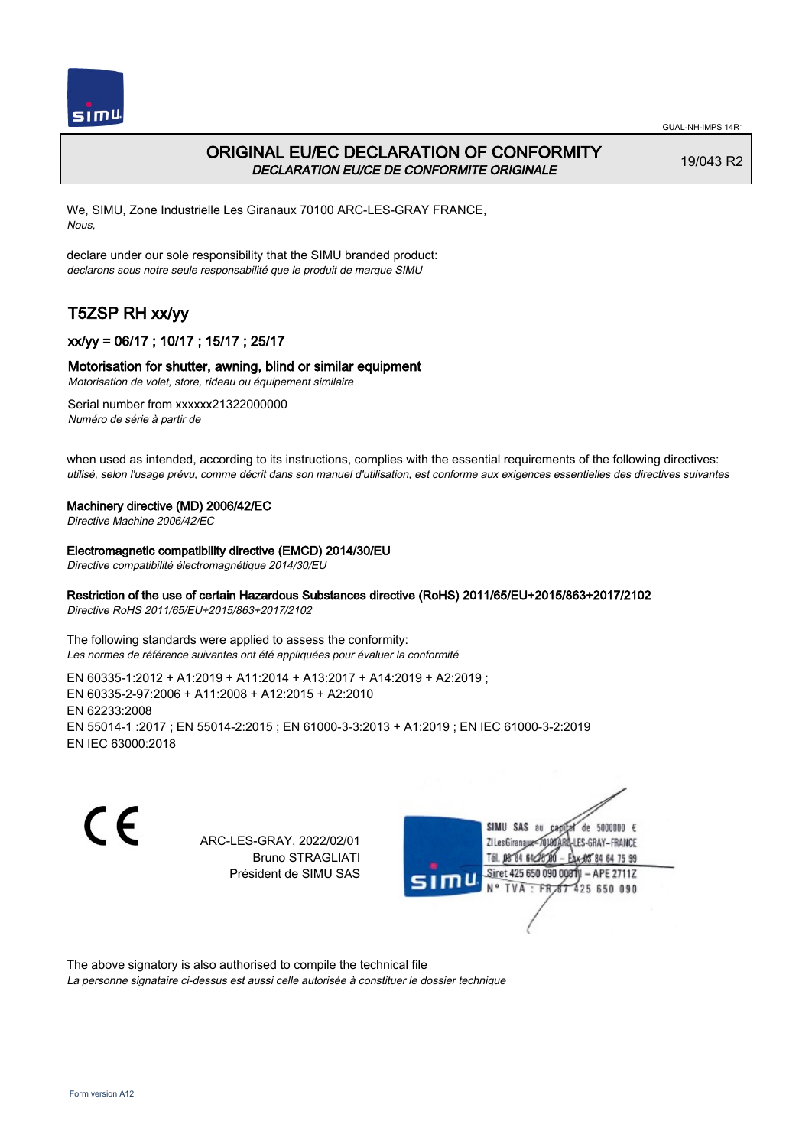

# ORIGINAL EU/EC DECLARATION OF CONFORMITY DECLARATION EU/CE DE CONFORMITE ORIGINALE

19/043 R2

We, SIMU, Zone Industrielle Les Giranaux 70100 ARC-LES-GRAY FRANCE, Nous,

declare under our sole responsibility that the SIMU branded product: declarons sous notre seule responsabilité que le produit de marque SIMU

# T5ZSP RH xx/yy

## xx/yy = 06/17 ; 10/17 ; 15/17 ; 25/17

#### Motorisation for shutter, awning, blind or similar equipment

Motorisation de volet, store, rideau ou équipement similaire

Serial number from xxxxxx21322000000 Numéro de série à partir de

when used as intended, according to its instructions, complies with the essential requirements of the following directives: utilisé, selon l'usage prévu, comme décrit dans son manuel d'utilisation, est conforme aux exigences essentielles des directives suivantes

#### Machinery directive (MD) 2006/42/EC

Directive Machine 2006/42/EC

Electromagnetic compatibility directive (EMCD) 2014/30/EU

Directive compatibilité électromagnétique 2014/30/EU

#### Restriction of the use of certain Hazardous Substances directive (RoHS) 2011/65/EU+2015/863+2017/2102

Directive RoHS 2011/65/EU+2015/863+2017/2102

The following standards were applied to assess the conformity: Les normes de référence suivantes ont été appliquées pour évaluer la conformité

EN 60335‑1:2012 + A1:2019 + A11:2014 + A13:2017 + A14:2019 + A2:2019 ; EN 60335‑2‑97:2006 + A11:2008 + A12:2015 + A2:2010 EN 62233:2008 EN 55014‑1 :2017 ; EN 55014‑2:2015 ; EN 61000‑3‑3:2013 + A1:2019 ; EN IEC 61000‑3‑2:2019 EN IEC 63000:2018

C E

ARC-LES-GRAY, 2022/02/01 Bruno STRAGLIATI Président de SIMU SAS



The above signatory is also authorised to compile the technical file

La personne signataire ci-dessus est aussi celle autorisée à constituer le dossier technique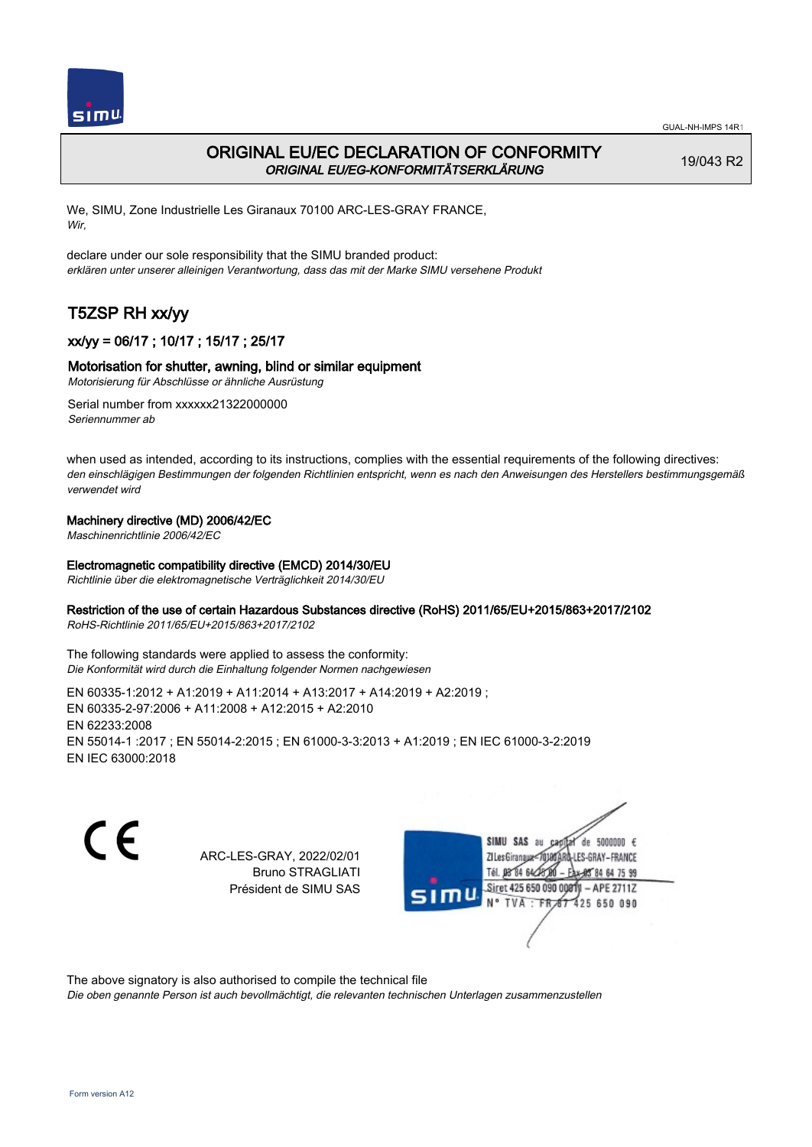

# ORIGINAL EU/EC DECLARATION OF CONFORMITY ORIGINAL EU/EG-KONFORMITÄTSERKLÄRUNG

19/043 R2

We, SIMU, Zone Industrielle Les Giranaux 70100 ARC-LES-GRAY FRANCE, Wir,

declare under our sole responsibility that the SIMU branded product: erklären unter unserer alleinigen Verantwortung, dass das mit der Marke SIMU versehene Produkt

# T5ZSP RH xx/yy

## xx/yy = 06/17 ; 10/17 ; 15/17 ; 25/17

#### Motorisation for shutter, awning, blind or similar equipment

Motorisierung für Abschlüsse or ähnliche Ausrüstung

Serial number from xxxxxx21322000000 Seriennummer ab

when used as intended, according to its instructions, complies with the essential requirements of the following directives: den einschlägigen Bestimmungen der folgenden Richtlinien entspricht, wenn es nach den Anweisungen des Herstellers bestimmungsgemäß verwendet wird

#### Machinery directive (MD) 2006/42/EC

Maschinenrichtlinie 2006/42/EC

#### Electromagnetic compatibility directive (EMCD) 2014/30/EU

Richtlinie über die elektromagnetische Verträglichkeit 2014/30/EU

#### Restriction of the use of certain Hazardous Substances directive (RoHS) 2011/65/EU+2015/863+2017/2102

RoHS-Richtlinie 2011/65/EU+2015/863+2017/2102

The following standards were applied to assess the conformity: Die Konformität wird durch die Einhaltung folgender Normen nachgewiesen

EN 60335‑1:2012 + A1:2019 + A11:2014 + A13:2017 + A14:2019 + A2:2019 ; EN 60335‑2‑97:2006 + A11:2008 + A12:2015 + A2:2010 EN 62233:2008 EN 55014‑1 :2017 ; EN 55014‑2:2015 ; EN 61000‑3‑3:2013 + A1:2019 ; EN IEC 61000‑3‑2:2019 EN IEC 63000:2018

CE

ARC-LES-GRAY, 2022/02/01 Bruno STRAGLIATI Président de SIMU SAS



The above signatory is also authorised to compile the technical file

Die oben genannte Person ist auch bevollmächtigt, die relevanten technischen Unterlagen zusammenzustellen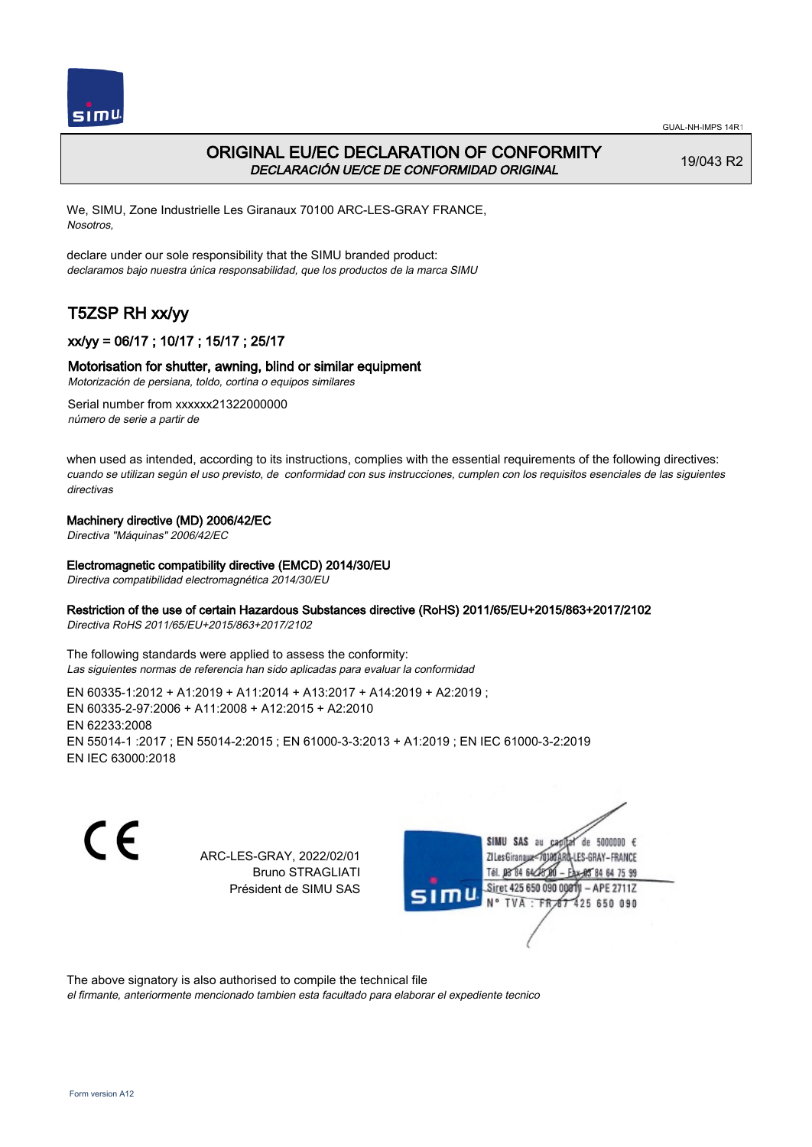



# ORIGINAL EU/EC DECLARATION OF CONFORMITY DECLARACIÓN UE/CE DE CONFORMIDAD ORIGINAL

19/043 R2

We, SIMU, Zone Industrielle Les Giranaux 70100 ARC-LES-GRAY FRANCE, Nosotros,

declare under our sole responsibility that the SIMU branded product: declaramos bajo nuestra única responsabilidad, que los productos de la marca SIMU

# T5ZSP RH xx/yy

## xx/yy = 06/17 ; 10/17 ; 15/17 ; 25/17

### Motorisation for shutter, awning, blind or similar equipment

Motorización de persiana, toldo, cortina o equipos similares

Serial number from xxxxxx21322000000 número de serie a partir de

when used as intended, according to its instructions, complies with the essential requirements of the following directives: cuando se utilizan según el uso previsto, de conformidad con sus instrucciones, cumplen con los requisitos esenciales de las siguientes directivas

#### Machinery directive (MD) 2006/42/EC

Directiva "Máquinas" 2006/42/EC

#### Electromagnetic compatibility directive (EMCD) 2014/30/EU

Directiva compatibilidad electromagnética 2014/30/EU

#### Restriction of the use of certain Hazardous Substances directive (RoHS) 2011/65/EU+2015/863+2017/2102

Directiva RoHS 2011/65/EU+2015/863+2017/2102

The following standards were applied to assess the conformity: Las siguientes normas de referencia han sido aplicadas para evaluar la conformidad

EN 60335‑1:2012 + A1:2019 + A11:2014 + A13:2017 + A14:2019 + A2:2019 ; EN 60335‑2‑97:2006 + A11:2008 + A12:2015 + A2:2010 EN 62233:2008 EN 55014‑1 :2017 ; EN 55014‑2:2015 ; EN 61000‑3‑3:2013 + A1:2019 ; EN IEC 61000‑3‑2:2019 EN IEC 63000:2018

CE

ARC-LES-GRAY, 2022/02/01 Bruno STRAGLIATI Président de SIMU SAS



The above signatory is also authorised to compile the technical file

el firmante, anteriormente mencionado tambien esta facultado para elaborar el expediente tecnico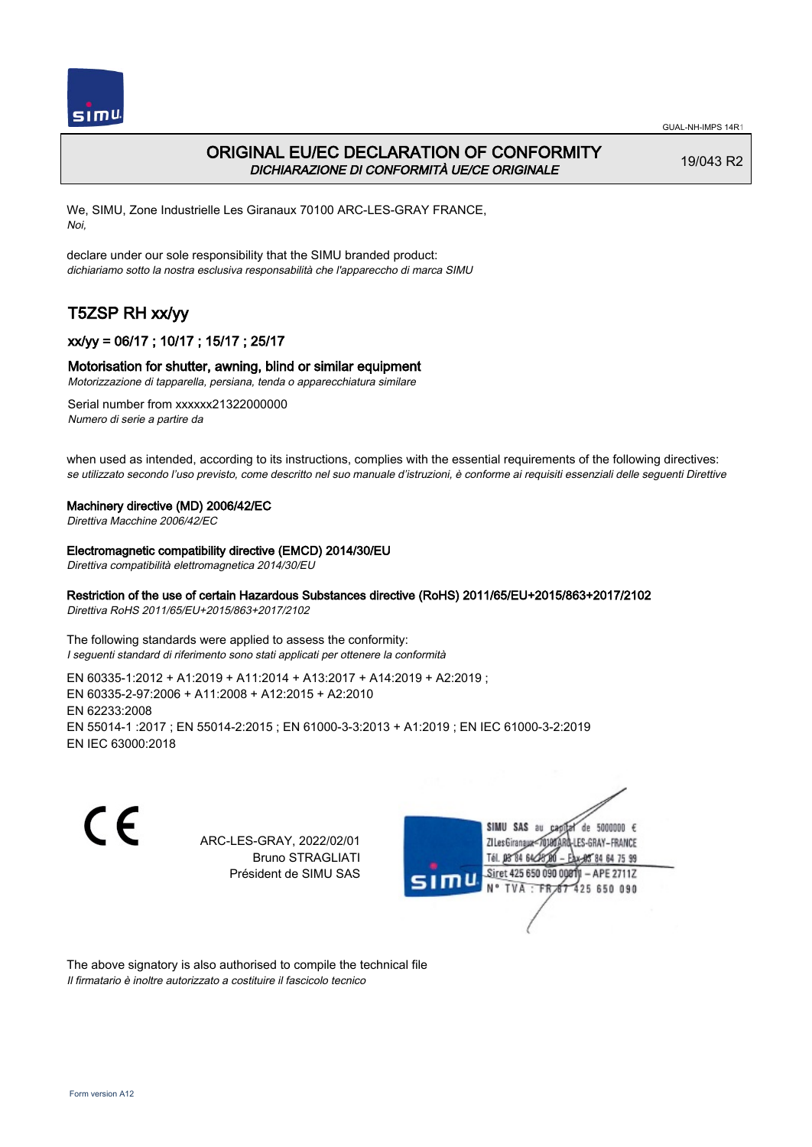

## ORIGINAL EU/EC DECLARATION OF CONFORMITY DICHIARAZIONE DI CONFORMITÀ UE/CE ORIGINALE

19/043 R2

We, SIMU, Zone Industrielle Les Giranaux 70100 ARC-LES-GRAY FRANCE, Noi,

declare under our sole responsibility that the SIMU branded product: dichiariamo sotto la nostra esclusiva responsabilità che l'appareccho di marca SIMU

# T5ZSP RH xx/yy

### xx/yy = 06/17 ; 10/17 ; 15/17 ; 25/17

#### Motorisation for shutter, awning, blind or similar equipment

Motorizzazione di tapparella, persiana, tenda o apparecchiatura similare

Serial number from xxxxxx21322000000 Numero di serie a partire da

when used as intended, according to its instructions, complies with the essential requirements of the following directives: se utilizzato secondo l'uso previsto, come descritto nel suo manuale d'istruzioni, è conforme ai requisiti essenziali delle seguenti Direttive

#### Machinery directive (MD) 2006/42/EC

Direttiva Macchine 2006/42/EC

#### Electromagnetic compatibility directive (EMCD) 2014/30/EU

Direttiva compatibilità elettromagnetica 2014/30/EU

#### Restriction of the use of certain Hazardous Substances directive (RoHS) 2011/65/EU+2015/863+2017/2102

Direttiva RoHS 2011/65/EU+2015/863+2017/2102

The following standards were applied to assess the conformity: I seguenti standard di riferimento sono stati applicati per ottenere la conformità

EN 60335‑1:2012 + A1:2019 + A11:2014 + A13:2017 + A14:2019 + A2:2019 ; EN 60335‑2‑97:2006 + A11:2008 + A12:2015 + A2:2010 EN 62233:2008 EN 55014‑1 :2017 ; EN 55014‑2:2015 ; EN 61000‑3‑3:2013 + A1:2019 ; EN IEC 61000‑3‑2:2019 EN IEC 63000:2018

C E

ARC-LES-GRAY, 2022/02/01 Bruno STRAGLIATI Président de SIMU SAS



The above signatory is also authorised to compile the technical file Il firmatario è inoltre autorizzato a costituire il fascicolo tecnico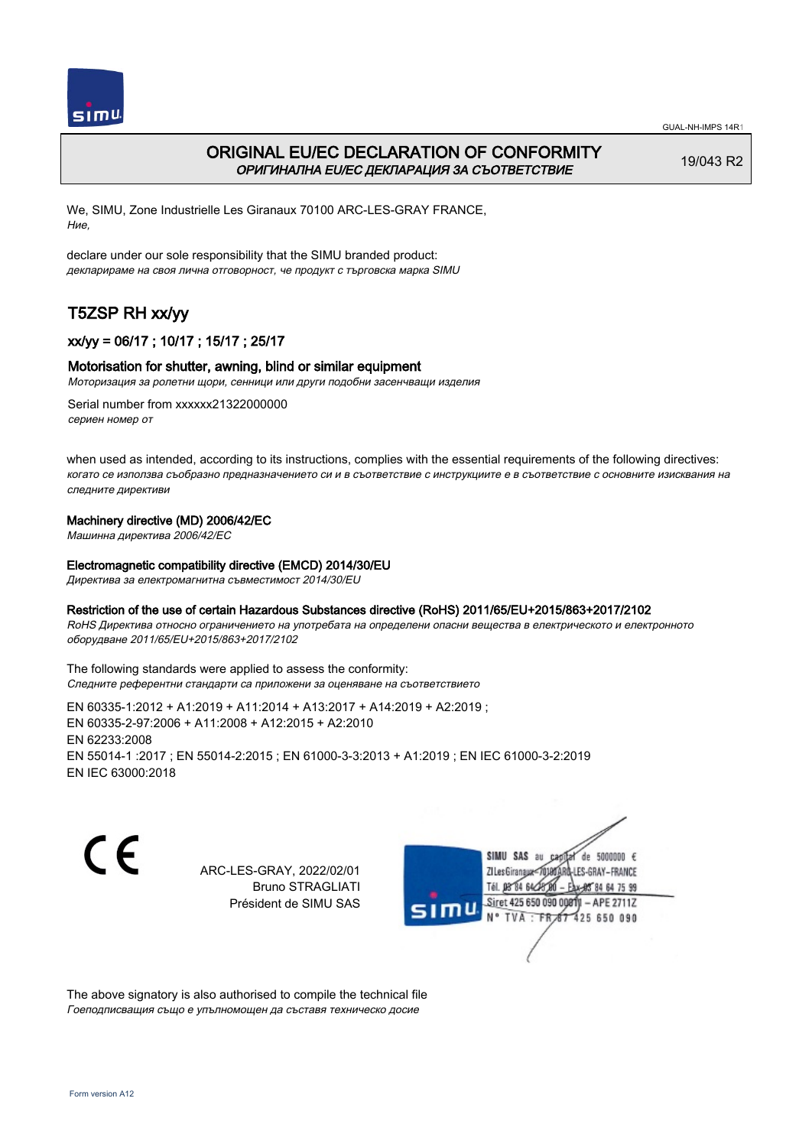



# ORIGINAL EU/EC DECLARATION OF CONFORMITY ОРИГИНАЛНА EU/EC ДЕКЛАРАЦИЯ ЗА СЪОТВЕТСТВИЕ

19/043 R2

We, SIMU, Zone Industrielle Les Giranaux 70100 ARC-LES-GRAY FRANCE, Ние,

declare under our sole responsibility that the SIMU branded product: декларираме на своя лична отговорност, че продукт с търговска марка SIMU

# T5ZSP RH xx/yy

### xx/yy = 06/17 ; 10/17 ; 15/17 ; 25/17

#### Motorisation for shutter, awning, blind or similar equipment

Моторизация за ролетни щори, сенници или други подобни засенчващи изделия

Serial number from xxxxxx21322000000 сериен номер от

when used as intended, according to its instructions, complies with the essential requirements of the following directives: когато се използва съобразно предназначението си и в съответствие с инструкциите е в съответствие с основните изисквания на следните директиви

#### Machinery directive (MD) 2006/42/EC

Машинна директива 2006/42/EC

#### Electromagnetic compatibility directive (EMCD) 2014/30/EU

Директива за електромагнитна съвместимост 2014/30/EU

#### Restriction of the use of certain Hazardous Substances directive (RoHS) 2011/65/EU+2015/863+2017/2102

RoHS Директива относно ограничението на употребата на определени опасни вещества в електрическото и електронното оборудване 2011/65/EU+2015/863+2017/2102

The following standards were applied to assess the conformity: Следните референтни стандарти са приложени за оценяване на съответствието

EN 60335‑1:2012 + A1:2019 + A11:2014 + A13:2017 + A14:2019 + A2:2019 ; EN 60335‑2‑97:2006 + A11:2008 + A12:2015 + A2:2010 EN 62233:2008 EN 55014‑1 :2017 ; EN 55014‑2:2015 ; EN 61000‑3‑3:2013 + A1:2019 ; EN IEC 61000‑3‑2:2019 EN IEC 63000:2018

C E

ARC-LES-GRAY, 2022/02/01 Bruno STRAGLIATI Président de SIMU SAS

SIMU SAS au  $cardiz$  de 5000000  $\epsilon$ LES-GRAY-FRANCE ZI Les Giranaux</DJ80AF Tél. 08 84 64 28 584 64 75 99 Siret 425 650 090 008TV  $-$  APE 2711Z N° TVA : FRAT 425 650 090

The above signatory is also authorised to compile the technical file Гоеподписващия също е упълномощен да съставя техническо досие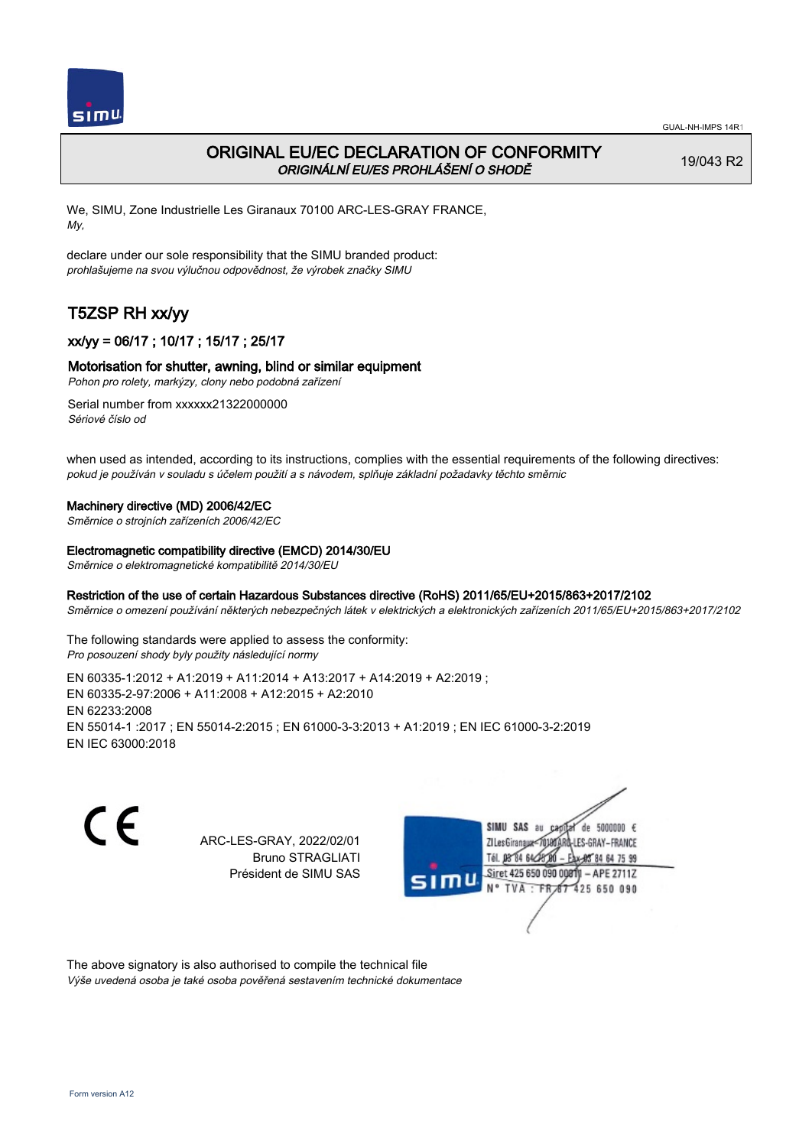

# ORIGINAL EU/EC DECLARATION OF CONFORMITY ORIGINÁLNÍ EU/ES PROHLÁŠENÍ O SHODĚ

19/043 R2

We, SIMU, Zone Industrielle Les Giranaux 70100 ARC-LES-GRAY FRANCE, My,

declare under our sole responsibility that the SIMU branded product: prohlašujeme na svou výlučnou odpovědnost, že výrobek značky SIMU

# T5ZSP RH xx/yy

## xx/yy = 06/17 ; 10/17 ; 15/17 ; 25/17

#### Motorisation for shutter, awning, blind or similar equipment

Pohon pro rolety, markýzy, clony nebo podobná zařízení

Serial number from xxxxxx21322000000 Sériové číslo od

when used as intended, according to its instructions, complies with the essential requirements of the following directives: pokud je používán v souladu s účelem použití a s návodem, splňuje základní požadavky těchto směrnic

#### Machinery directive (MD) 2006/42/EC

Směrnice o strojních zařízeních 2006/42/EC

#### Electromagnetic compatibility directive (EMCD) 2014/30/EU

Směrnice o elektromagnetické kompatibilitě 2014/30/EU

#### Restriction of the use of certain Hazardous Substances directive (RoHS) 2011/65/EU+2015/863+2017/2102

Směrnice o omezení používání některých nebezpečných látek v elektrických a elektronických zařízeních 2011/65/EU+2015/863+2017/2102

The following standards were applied to assess the conformity: Pro posouzení shody byly použity následující normy

EN 60335‑1:2012 + A1:2019 + A11:2014 + A13:2017 + A14:2019 + A2:2019 ; EN 60335‑2‑97:2006 + A11:2008 + A12:2015 + A2:2010 EN 62233:2008 EN 55014‑1 :2017 ; EN 55014‑2:2015 ; EN 61000‑3‑3:2013 + A1:2019 ; EN IEC 61000‑3‑2:2019 EN IEC 63000:2018

C E

ARC-LES-GRAY, 2022/02/01 Bruno STRAGLIATI Président de SIMU SAS



The above signatory is also authorised to compile the technical file Výše uvedená osoba je také osoba pověřená sestavením technické dokumentace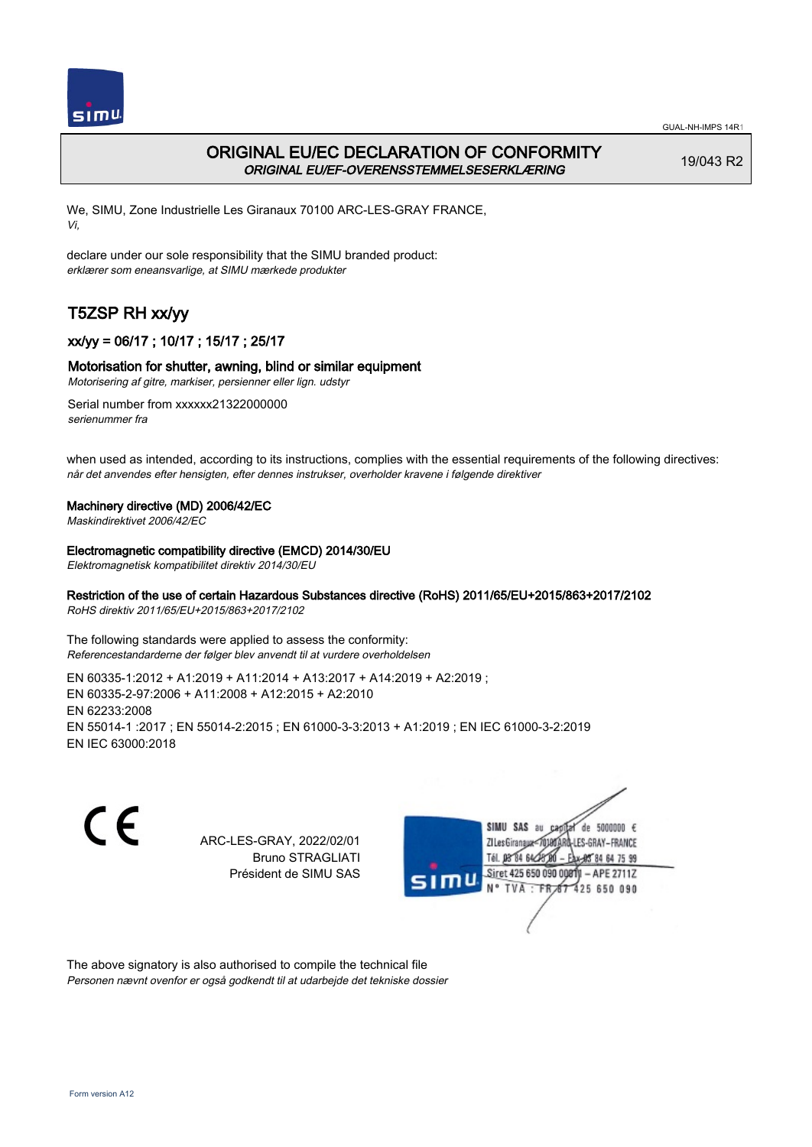



# ORIGINAL EU/EC DECLARATION OF CONFORMITY ORIGINAL EU/EF-OVERENSSTEMMELSESERKLÆRING

19/043 R2

We, SIMU, Zone Industrielle Les Giranaux 70100 ARC-LES-GRAY FRANCE, Vi,

declare under our sole responsibility that the SIMU branded product: erklærer som eneansvarlige, at SIMU mærkede produkter

# T5ZSP RH xx/yy

## xx/yy = 06/17 ; 10/17 ; 15/17 ; 25/17

### Motorisation for shutter, awning, blind or similar equipment

Motorisering af gitre, markiser, persienner eller lign. udstyr

Serial number from xxxxxx21322000000 serienummer fra

when used as intended, according to its instructions, complies with the essential requirements of the following directives: når det anvendes efter hensigten, efter dennes instrukser, overholder kravene i følgende direktiver

#### Machinery directive (MD) 2006/42/EC

Maskindirektivet 2006/42/EC

#### Electromagnetic compatibility directive (EMCD) 2014/30/EU

Elektromagnetisk kompatibilitet direktiv 2014/30/EU

#### Restriction of the use of certain Hazardous Substances directive (RoHS) 2011/65/EU+2015/863+2017/2102

RoHS direktiv 2011/65/EU+2015/863+2017/2102

The following standards were applied to assess the conformity: Referencestandarderne der følger blev anvendt til at vurdere overholdelsen

EN 60335‑1:2012 + A1:2019 + A11:2014 + A13:2017 + A14:2019 + A2:2019 ; EN 60335‑2‑97:2006 + A11:2008 + A12:2015 + A2:2010 EN 62233:2008 EN 55014‑1 :2017 ; EN 55014‑2:2015 ; EN 61000‑3‑3:2013 + A1:2019 ; EN IEC 61000‑3‑2:2019 EN IEC 63000:2018

C E

ARC-LES-GRAY, 2022/02/01 Bruno STRAGLIATI Président de SIMU SAS



The above signatory is also authorised to compile the technical file Personen nævnt ovenfor er også godkendt til at udarbejde det tekniske dossier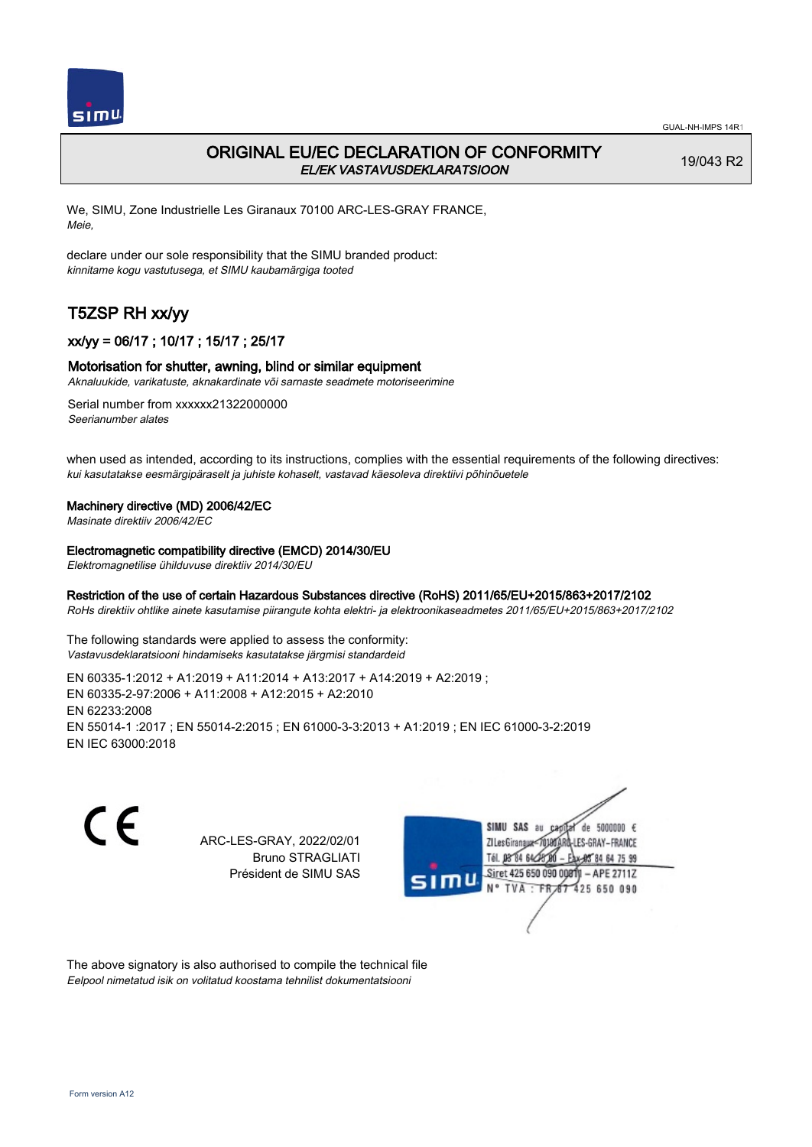

## ORIGINAL EU/EC DECLARATION OF CONFORMITY EL/EK VASTAVUSDEKLARATSIOON

19/043 R2

We, SIMU, Zone Industrielle Les Giranaux 70100 ARC-LES-GRAY FRANCE, Meie,

declare under our sole responsibility that the SIMU branded product: kinnitame kogu vastutusega, et SIMU kaubamärgiga tooted

# T5ZSP RH xx/yy

### xx/yy = 06/17 ; 10/17 ; 15/17 ; 25/17

#### Motorisation for shutter, awning, blind or similar equipment

Aknaluukide, varikatuste, aknakardinate või sarnaste seadmete motoriseerimine

Serial number from xxxxxx21322000000 Seerianumber alates

when used as intended, according to its instructions, complies with the essential requirements of the following directives: kui kasutatakse eesmärgipäraselt ja juhiste kohaselt, vastavad käesoleva direktiivi põhinõuetele

#### Machinery directive (MD) 2006/42/EC

Masinate direktiiv 2006/42/EC

#### Electromagnetic compatibility directive (EMCD) 2014/30/EU

Elektromagnetilise ühilduvuse direktiiv 2014/30/EU

#### Restriction of the use of certain Hazardous Substances directive (RoHS) 2011/65/EU+2015/863+2017/2102

RoHs direktiiv ohtlike ainete kasutamise piirangute kohta elektri- ja elektroonikaseadmetes 2011/65/EU+2015/863+2017/2102

The following standards were applied to assess the conformity: Vastavusdeklaratsiooni hindamiseks kasutatakse järgmisi standardeid

EN 60335‑1:2012 + A1:2019 + A11:2014 + A13:2017 + A14:2019 + A2:2019 ; EN 60335‑2‑97:2006 + A11:2008 + A12:2015 + A2:2010 EN 62233:2008 EN 55014‑1 :2017 ; EN 55014‑2:2015 ; EN 61000‑3‑3:2013 + A1:2019 ; EN IEC 61000‑3‑2:2019 EN IEC 63000:2018

C E

ARC-LES-GRAY, 2022/02/01 Bruno STRAGLIATI Président de SIMU SAS



The above signatory is also authorised to compile the technical file Eelpool nimetatud isik on volitatud koostama tehnilist dokumentatsiooni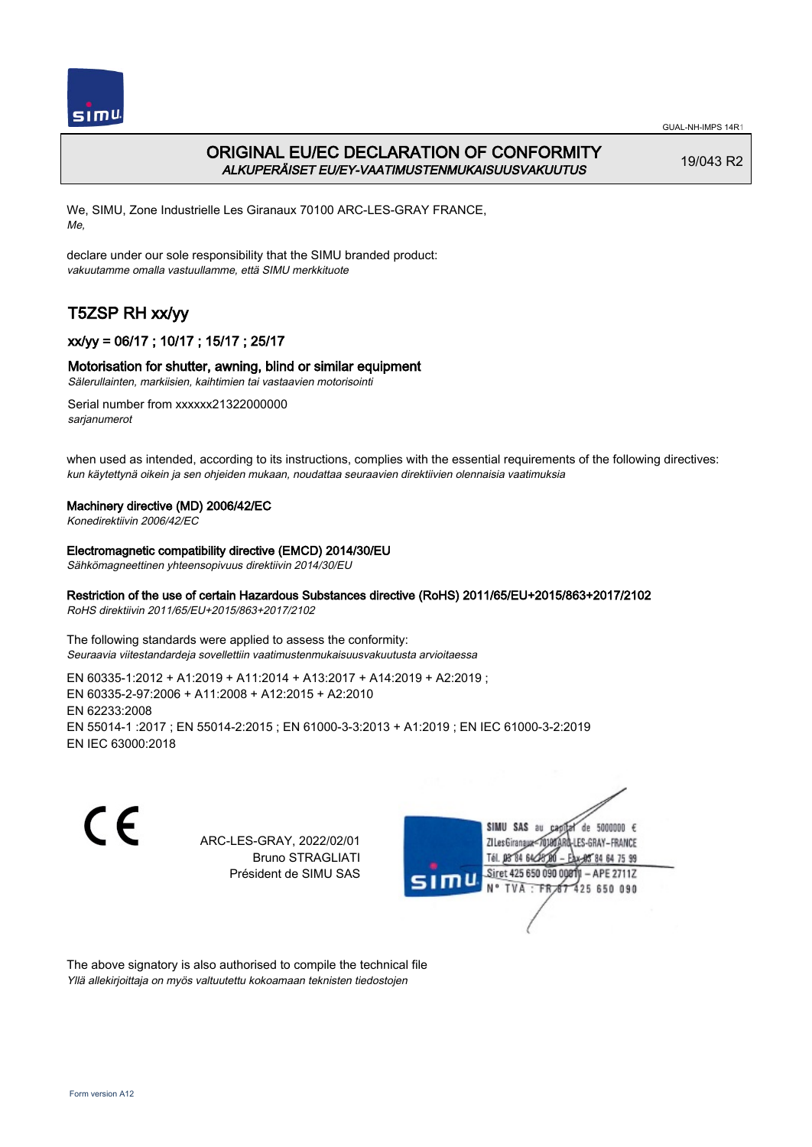

# ORIGINAL EU/EC DECLARATION OF CONFORMITY ALKUPERÄISET EU/EY-VAATIMUSTENMUKAISUUSVAKUUTUS

19/043 R2

We, SIMU, Zone Industrielle Les Giranaux 70100 ARC-LES-GRAY FRANCE, Me,

declare under our sole responsibility that the SIMU branded product: vakuutamme omalla vastuullamme, että SIMU merkkituote

# T5ZSP RH xx/yy

## xx/yy = 06/17 ; 10/17 ; 15/17 ; 25/17

#### Motorisation for shutter, awning, blind or similar equipment

Sälerullainten, markiisien, kaihtimien tai vastaavien motorisointi

Serial number from xxxxxx21322000000 sarjanumerot

when used as intended, according to its instructions, complies with the essential requirements of the following directives: kun käytettynä oikein ja sen ohjeiden mukaan, noudattaa seuraavien direktiivien olennaisia vaatimuksia

#### Machinery directive (MD) 2006/42/EC

Konedirektiivin 2006/42/EC

#### Electromagnetic compatibility directive (EMCD) 2014/30/EU

Sähkömagneettinen yhteensopivuus direktiivin 2014/30/EU

## Restriction of the use of certain Hazardous Substances directive (RoHS) 2011/65/EU+2015/863+2017/2102

RoHS direktiivin 2011/65/EU+2015/863+2017/2102

The following standards were applied to assess the conformity: Seuraavia viitestandardeja sovellettiin vaatimustenmukaisuusvakuutusta arvioitaessa

EN 60335‑1:2012 + A1:2019 + A11:2014 + A13:2017 + A14:2019 + A2:2019 ; EN 60335‑2‑97:2006 + A11:2008 + A12:2015 + A2:2010 EN 62233:2008 EN 55014‑1 :2017 ; EN 55014‑2:2015 ; EN 61000‑3‑3:2013 + A1:2019 ; EN IEC 61000‑3‑2:2019 EN IEC 63000:2018

C E

ARC-LES-GRAY, 2022/02/01 Bruno STRAGLIATI Président de SIMU SAS



The above signatory is also authorised to compile the technical file Yllä allekirjoittaja on myös valtuutettu kokoamaan teknisten tiedostojen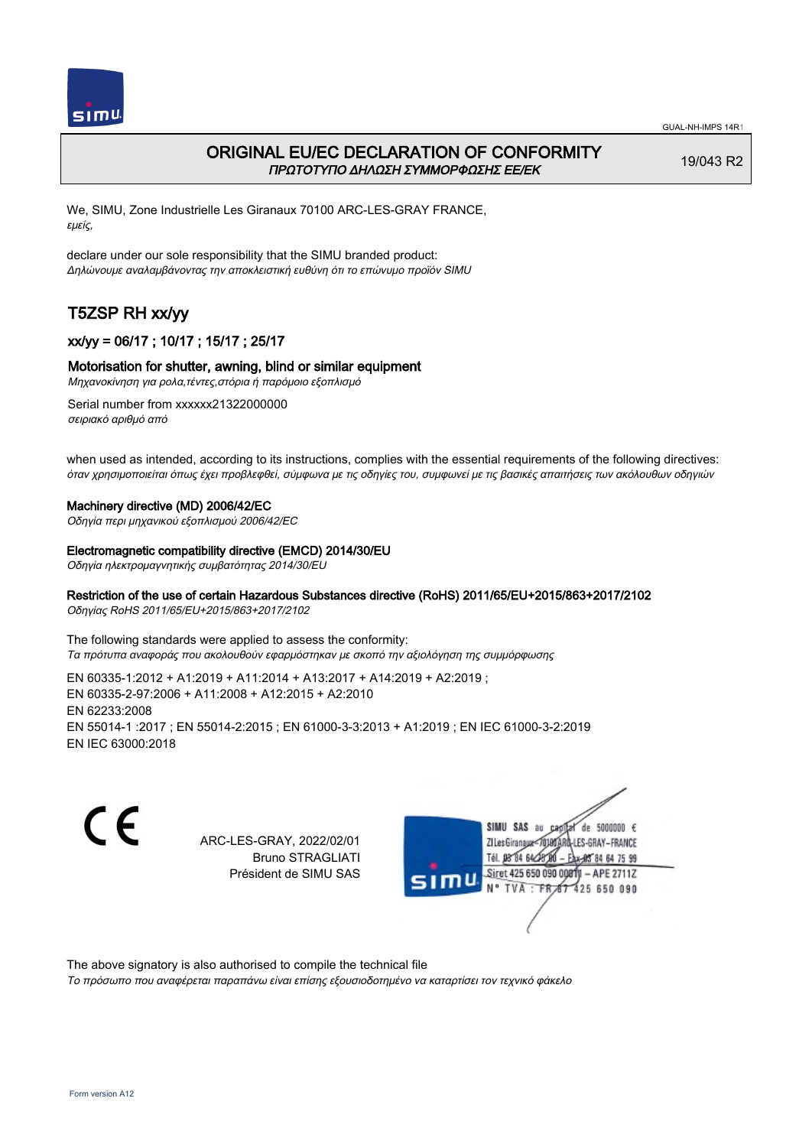

## ORIGINAL EU/EC DECLARATION OF CONFORMITY ΠΡΩΤΟΤΥΠΟ ΔΗΛΩΣΗ ΣΥΜΜΟΡΦΩΣΗΣ ΕΕ/EK

19/043 R2

We, SIMU, Zone Industrielle Les Giranaux 70100 ARC-LES-GRAY FRANCE, εμείς,

declare under our sole responsibility that the SIMU branded product: Δηλώνουμε αναλαμβάνοντας την αποκλειστική ευθύνη ότι το επώνυμο προϊόν SIMU

# T5ZSP RH xx/yy

### xx/yy = 06/17 ; 10/17 ; 15/17 ; 25/17

#### Motorisation for shutter, awning, blind or similar equipment

Μηχανοκίνηση για ρολα,τέντες,στόρια ή παρόμοιο εξοπλισμό

Serial number from xxxxxx21322000000 σειριακό αριθμό από

when used as intended, according to its instructions, complies with the essential requirements of the following directives: όταν χρησιμοποιείται όπως έχει προβλεφθεί, σύμφωνα με τις οδηγίες του, συμφωνεί με τις βασικές απαιτήσεις των ακόλουθων οδηγιών

#### Machinery directive (MD) 2006/42/EC

Οδηγία περι μηχανικού εξοπλισμού 2006/42/EC

#### Electromagnetic compatibility directive (EMCD) 2014/30/EU

Οδηγία ηλεκτρομαγνητικής συμβατότητας 2014/30/EU

#### Restriction of the use of certain Hazardous Substances directive (RoHS) 2011/65/EU+2015/863+2017/2102

Οδηγίας RoHS 2011/65/EU+2015/863+2017/2102

The following standards were applied to assess the conformity: Τα πρότυπα αναφοράς που ακολουθούν εφαρμόστηκαν με σκοπό την αξιολόγηση της συμμόρφωσης

EN 60335‑1:2012 + A1:2019 + A11:2014 + A13:2017 + A14:2019 + A2:2019 ; EN 60335‑2‑97:2006 + A11:2008 + A12:2015 + A2:2010 EN 62233:2008 EN 55014‑1 :2017 ; EN 55014‑2:2015 ; EN 61000‑3‑3:2013 + A1:2019 ; EN IEC 61000‑3‑2:2019 EN IEC 63000:2018

C E

ARC-LES-GRAY, 2022/02/01 Bruno STRAGLIATI Président de SIMU SAS



The above signatory is also authorised to compile the technical file

Το πρόσωπο που αναφέρεται παραπάνω είναι επίσης εξουσιοδοτημένο να καταρτίσει τον τεχνικό φάκελο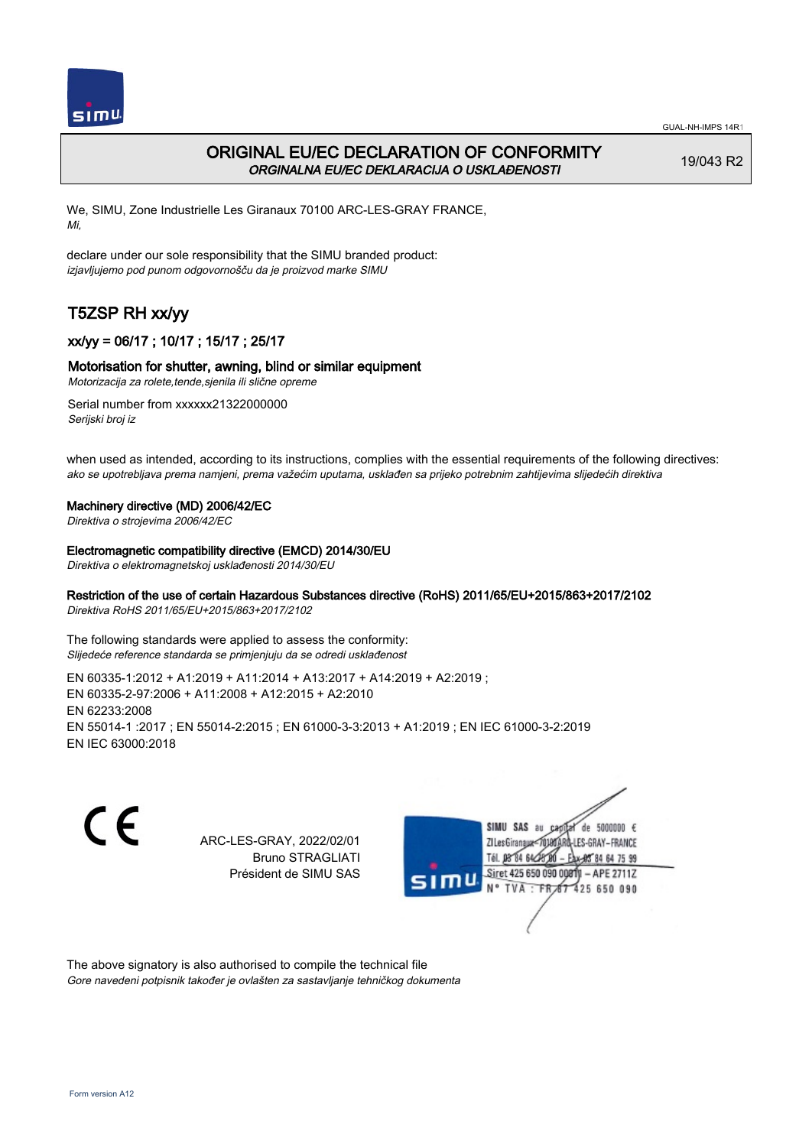

# ORIGINAL EU/EC DECLARATION OF CONFORMITY ORGINALNA EU/EC DEKLARACIJA O USKLAĐENOSTI

19/043 R2

We, SIMU, Zone Industrielle Les Giranaux 70100 ARC-LES-GRAY FRANCE, Mi,

declare under our sole responsibility that the SIMU branded product: izjavljujemo pod punom odgovornošču da je proizvod marke SIMU

# T5ZSP RH xx/yy

## xx/yy = 06/17 ; 10/17 ; 15/17 ; 25/17

### Motorisation for shutter, awning, blind or similar equipment

Motorizacija za rolete,tende,sjenila ili slične opreme

Serial number from xxxxxx21322000000 Serijski broj iz

when used as intended, according to its instructions, complies with the essential requirements of the following directives: ako se upotrebljava prema namjeni, prema važećim uputama, usklađen sa prijeko potrebnim zahtijevima slijedećih direktiva

#### Machinery directive (MD) 2006/42/EC

Direktiva o strojevima 2006/42/EC

#### Electromagnetic compatibility directive (EMCD) 2014/30/EU

Direktiva o elektromagnetskoj usklađenosti 2014/30/EU

### Restriction of the use of certain Hazardous Substances directive (RoHS) 2011/65/EU+2015/863+2017/2102

Direktiva RoHS 2011/65/EU+2015/863+2017/2102

The following standards were applied to assess the conformity: Slijedeće reference standarda se primjenjuju da se odredi usklađenost

EN 60335‑1:2012 + A1:2019 + A11:2014 + A13:2017 + A14:2019 + A2:2019 ; EN 60335‑2‑97:2006 + A11:2008 + A12:2015 + A2:2010 EN 62233:2008 EN 55014‑1 :2017 ; EN 55014‑2:2015 ; EN 61000‑3‑3:2013 + A1:2019 ; EN IEC 61000‑3‑2:2019 EN IEC 63000:2018

C E

ARC-LES-GRAY, 2022/02/01 Bruno STRAGLIATI Président de SIMU SAS



The above signatory is also authorised to compile the technical file Gore navedeni potpisnik također je ovlašten za sastavljanje tehničkog dokumenta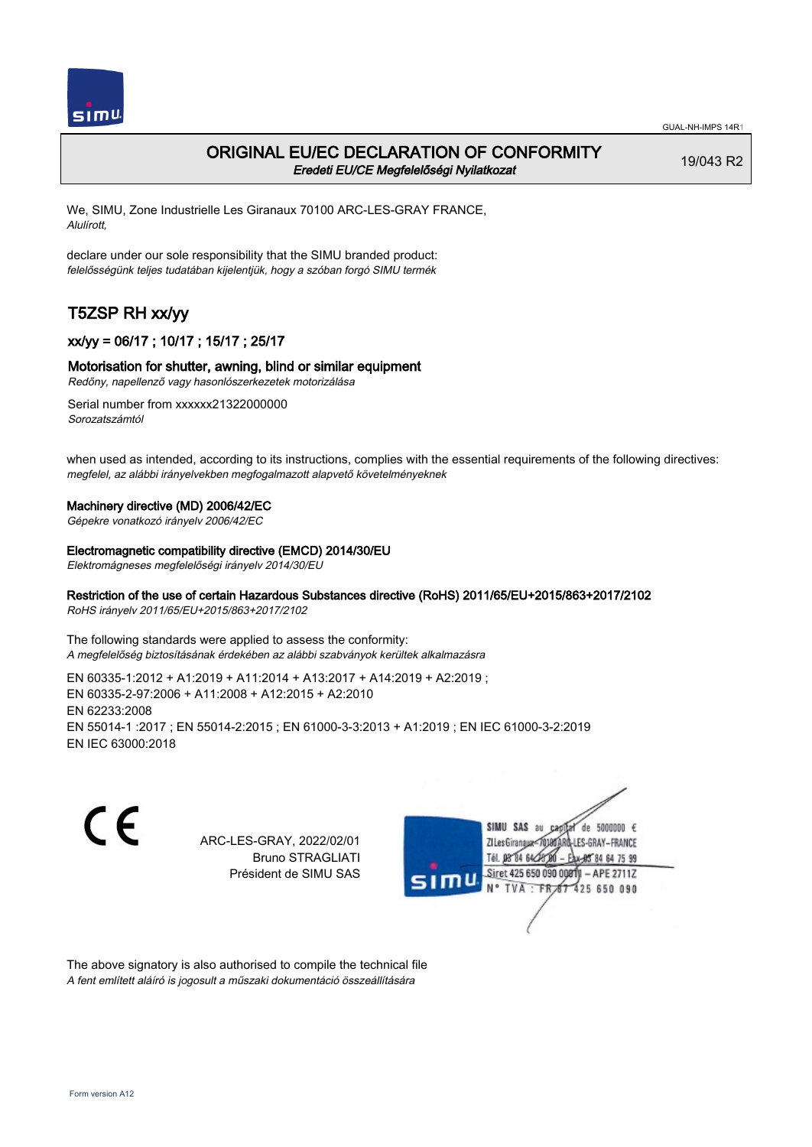

## ORIGINAL EU/EC DECLARATION OF CONFORMITY Eredeti EU/CE Megfelelőségi Nyilatkozat

19/043 R2

We, SIMU, Zone Industrielle Les Giranaux 70100 ARC-LES-GRAY FRANCE, Alulírott,

declare under our sole responsibility that the SIMU branded product: felelősségünk teljes tudatában kijelentjük, hogy a szóban forgó SIMU termék

# T5ZSP RH xx/yy

### xx/yy = 06/17 ; 10/17 ; 15/17 ; 25/17

#### Motorisation for shutter, awning, blind or similar equipment

Redőny, napellenző vagy hasonlószerkezetek motorizálása

Serial number from xxxxxx21322000000 Sorozatszámtól

when used as intended, according to its instructions, complies with the essential requirements of the following directives: megfelel, az alábbi irányelvekben megfogalmazott alapvető követelményeknek

#### Machinery directive (MD) 2006/42/EC

Gépekre vonatkozó irányelv 2006/42/EC

#### Electromagnetic compatibility directive (EMCD) 2014/30/EU

Elektromágneses megfelelőségi irányelv 2014/30/EU

#### Restriction of the use of certain Hazardous Substances directive (RoHS) 2011/65/EU+2015/863+2017/2102

RoHS irányelv 2011/65/EU+2015/863+2017/2102

The following standards were applied to assess the conformity: A megfelelőség biztosításának érdekében az alábbi szabványok kerültek alkalmazásra

EN 60335‑1:2012 + A1:2019 + A11:2014 + A13:2017 + A14:2019 + A2:2019 ; EN 60335‑2‑97:2006 + A11:2008 + A12:2015 + A2:2010 EN 62233:2008 EN 55014‑1 :2017 ; EN 55014‑2:2015 ; EN 61000‑3‑3:2013 + A1:2019 ; EN IEC 61000‑3‑2:2019 EN IEC 63000:2018

C E

ARC-LES-GRAY, 2022/02/01 Bruno STRAGLIATI Président de SIMU SAS



The above signatory is also authorised to compile the technical file A fent említett aláíró is jogosult a műszaki dokumentáció összeállítására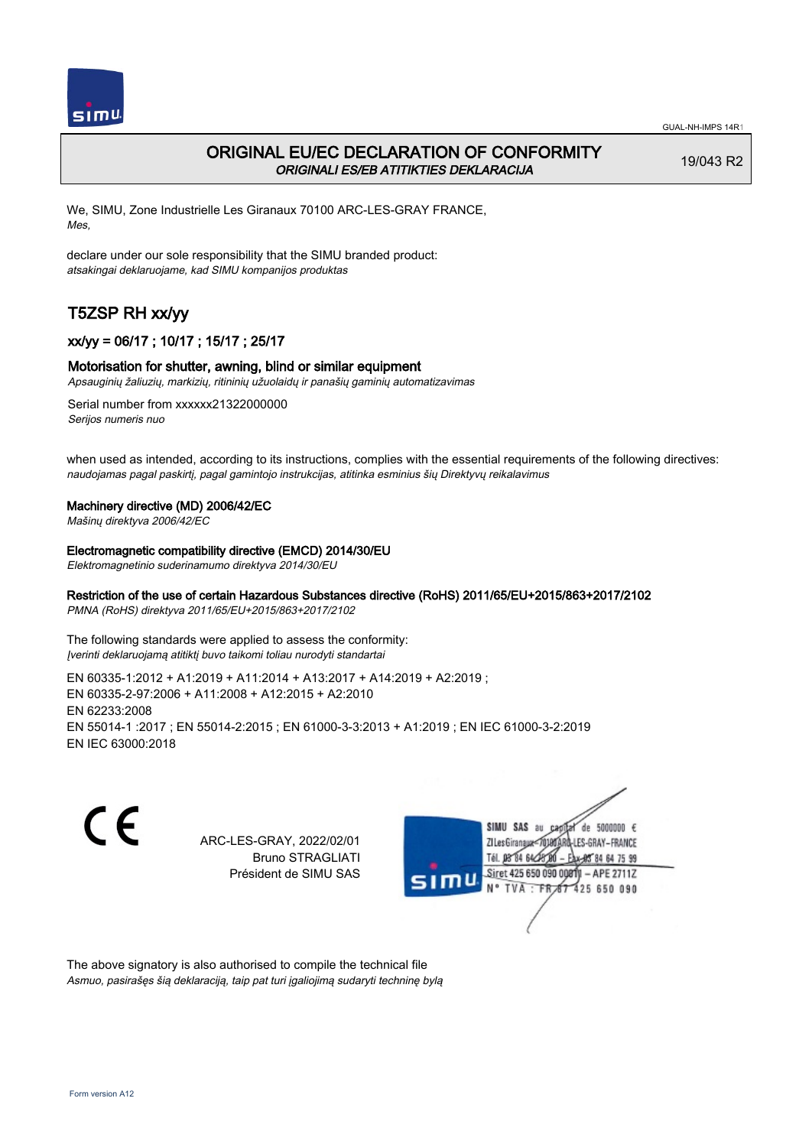

## ORIGINAL EU/EC DECLARATION OF CONFORMITY ORIGINALI ES/EB ATITIKTIES DEKLARACIJA

19/043 R2

We, SIMU, Zone Industrielle Les Giranaux 70100 ARC-LES-GRAY FRANCE, Mes,

declare under our sole responsibility that the SIMU branded product: atsakingai deklaruojame, kad SIMU kompanijos produktas

# T5ZSP RH xx/yy

### xx/yy = 06/17 ; 10/17 ; 15/17 ; 25/17

#### Motorisation for shutter, awning, blind or similar equipment

Apsauginių žaliuzių, markizių, ritininių užuolaidų ir panašių gaminių automatizavimas

Serial number from xxxxxx21322000000 Serijos numeris nuo

when used as intended, according to its instructions, complies with the essential requirements of the following directives: naudojamas pagal paskirtį, pagal gamintojo instrukcijas, atitinka esminius šių Direktyvų reikalavimus

#### Machinery directive (MD) 2006/42/EC

Mašinų direktyva 2006/42/EC

Electromagnetic compatibility directive (EMCD) 2014/30/EU

Elektromagnetinio suderinamumo direktyva 2014/30/EU

### Restriction of the use of certain Hazardous Substances directive (RoHS) 2011/65/EU+2015/863+2017/2102

PMNA (RoHS) direktyva 2011/65/EU+2015/863+2017/2102

The following standards were applied to assess the conformity: Įverinti deklaruojamą atitiktį buvo taikomi toliau nurodyti standartai

EN 60335‑1:2012 + A1:2019 + A11:2014 + A13:2017 + A14:2019 + A2:2019 ; EN 60335‑2‑97:2006 + A11:2008 + A12:2015 + A2:2010 EN 62233:2008 EN 55014‑1 :2017 ; EN 55014‑2:2015 ; EN 61000‑3‑3:2013 + A1:2019 ; EN IEC 61000‑3‑2:2019 EN IEC 63000:2018

C E

ARC-LES-GRAY, 2022/02/01 Bruno STRAGLIATI Président de SIMU SAS



The above signatory is also authorised to compile the technical file Asmuo, pasirašęs šią deklaraciją, taip pat turi įgaliojimą sudaryti techninę bylą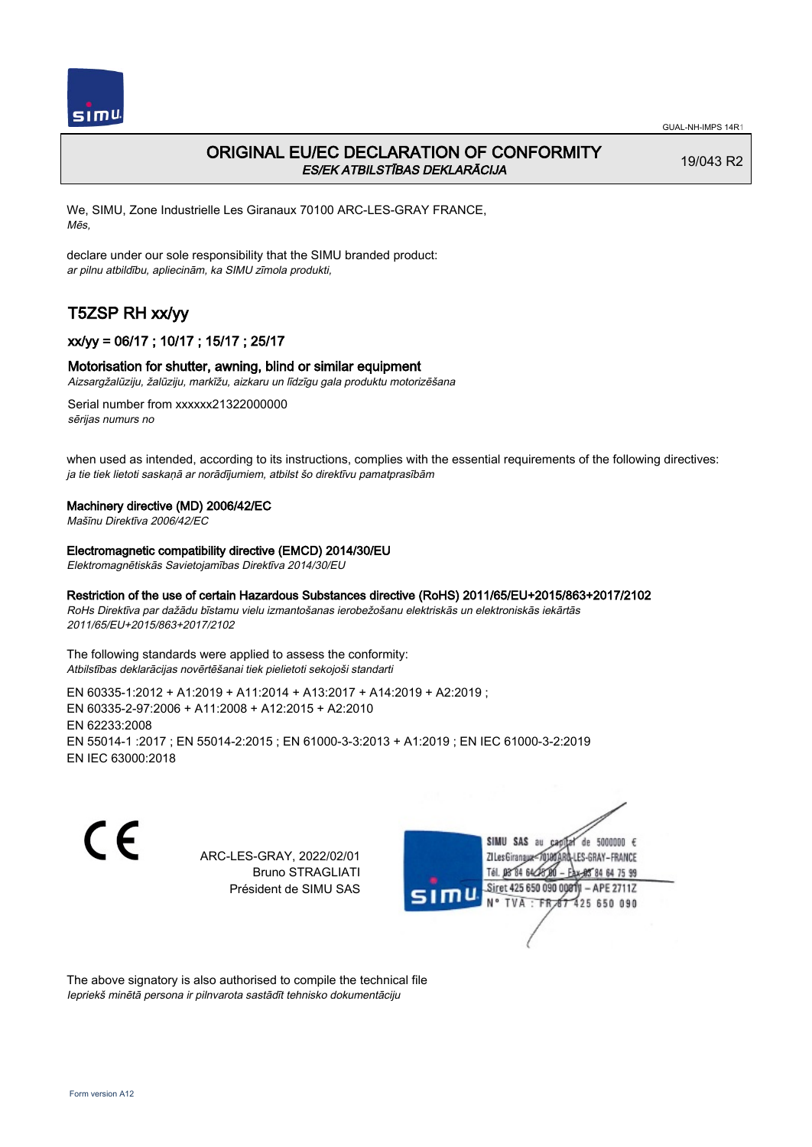

# ORIGINAL EU/EC DECLARATION OF CONFORMITY ES/EK ATBILSTĪBAS DEKLARĀCIJA

19/043 R2

We, SIMU, Zone Industrielle Les Giranaux 70100 ARC-LES-GRAY FRANCE, Mēs,

declare under our sole responsibility that the SIMU branded product: ar pilnu atbildību, apliecinām, ka SIMU zīmola produkti,

# T5ZSP RH xx/yy

### xx/yy = 06/17 ; 10/17 ; 15/17 ; 25/17

#### Motorisation for shutter, awning, blind or similar equipment

Aizsargžalūziju, žalūziju, markīžu, aizkaru un līdzīgu gala produktu motorizēšana

Serial number from xxxxxx21322000000 sērijas numurs no

when used as intended, according to its instructions, complies with the essential requirements of the following directives: ja tie tiek lietoti saskaņā ar norādījumiem, atbilst šo direktīvu pamatprasībām

#### Machinery directive (MD) 2006/42/EC

Mašīnu Direktīva 2006/42/EC

Electromagnetic compatibility directive (EMCD) 2014/30/EU

Elektromagnētiskās Savietojamības Direktīva 2014/30/EU

#### Restriction of the use of certain Hazardous Substances directive (RoHS) 2011/65/EU+2015/863+2017/2102

RoHs Direktīva par dažādu bīstamu vielu izmantošanas ierobežošanu elektriskās un elektroniskās iekārtās 2011/65/EU+2015/863+2017/2102

The following standards were applied to assess the conformity: Atbilstības deklarācijas novērtēšanai tiek pielietoti sekojoši standarti

EN 60335‑1:2012 + A1:2019 + A11:2014 + A13:2017 + A14:2019 + A2:2019 ; EN 60335‑2‑97:2006 + A11:2008 + A12:2015 + A2:2010 EN 62233:2008 EN 55014‑1 :2017 ; EN 55014‑2:2015 ; EN 61000‑3‑3:2013 + A1:2019 ; EN IEC 61000‑3‑2:2019 EN IEC 63000:2018

CE

ARC-LES-GRAY, 2022/02/01 Bruno STRAGLIATI Président de SIMU SAS



The above signatory is also authorised to compile the technical file Iepriekš minētā persona ir pilnvarota sastādīt tehnisko dokumentāciju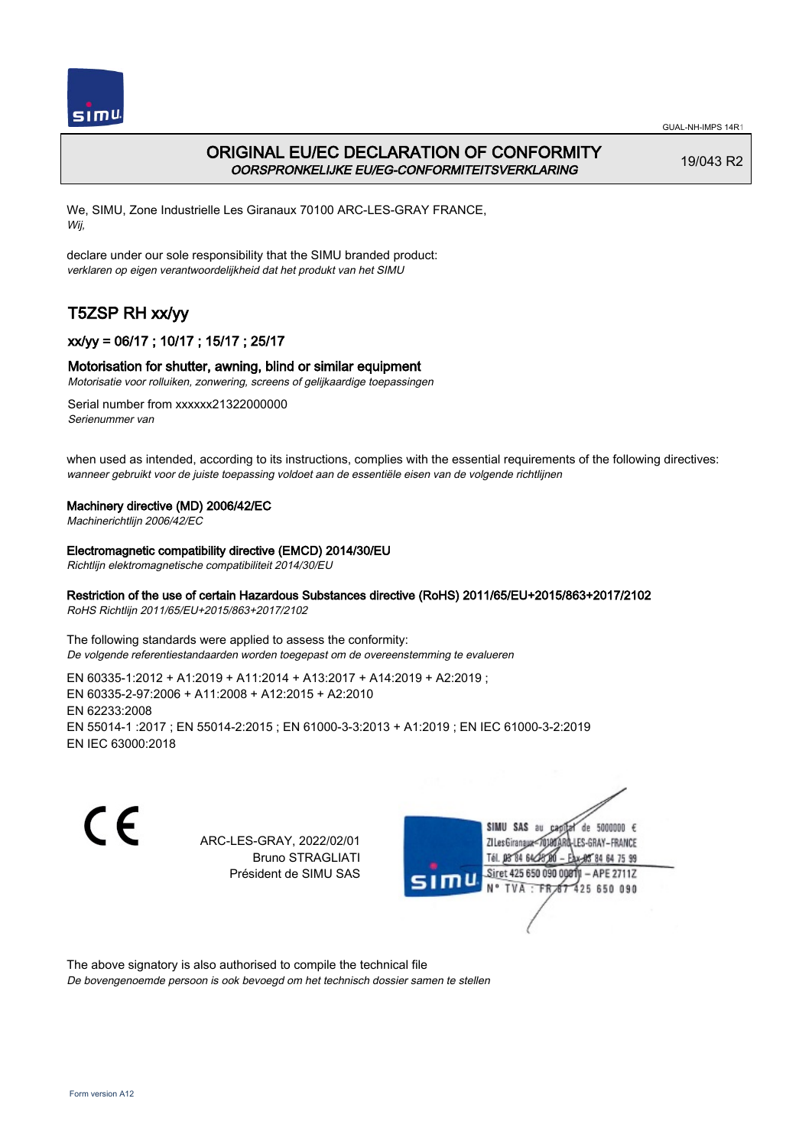

# ORIGINAL EU/EC DECLARATION OF CONFORMITY OORSPRONKELIJKE EU/EG-CONFORMITEITSVERKLARING

19/043 R2

We, SIMU, Zone Industrielle Les Giranaux 70100 ARC-LES-GRAY FRANCE, Wij,

declare under our sole responsibility that the SIMU branded product: verklaren op eigen verantwoordelijkheid dat het produkt van het SIMU

# T5ZSP RH xx/yy

## xx/yy = 06/17 ; 10/17 ; 15/17 ; 25/17

#### Motorisation for shutter, awning, blind or similar equipment

Motorisatie voor rolluiken, zonwering, screens of gelijkaardige toepassingen

Serial number from xxxxxx21322000000 Serienummer van

when used as intended, according to its instructions, complies with the essential requirements of the following directives: wanneer gebruikt voor de juiste toepassing voldoet aan de essentiële eisen van de volgende richtlijnen

#### Machinery directive (MD) 2006/42/EC

Machinerichtlijn 2006/42/EC

Electromagnetic compatibility directive (EMCD) 2014/30/EU

Richtlijn elektromagnetische compatibiliteit 2014/30/EU

#### Restriction of the use of certain Hazardous Substances directive (RoHS) 2011/65/EU+2015/863+2017/2102

RoHS Richtlijn 2011/65/EU+2015/863+2017/2102

The following standards were applied to assess the conformity: De volgende referentiestandaarden worden toegepast om de overeenstemming te evalueren

EN 60335‑1:2012 + A1:2019 + A11:2014 + A13:2017 + A14:2019 + A2:2019 ; EN 60335‑2‑97:2006 + A11:2008 + A12:2015 + A2:2010 EN 62233:2008 EN 55014‑1 :2017 ; EN 55014‑2:2015 ; EN 61000‑3‑3:2013 + A1:2019 ; EN IEC 61000‑3‑2:2019 EN IEC 63000:2018

C E

ARC-LES-GRAY, 2022/02/01 Bruno STRAGLIATI Président de SIMU SAS



The above signatory is also authorised to compile the technical file De bovengenoemde persoon is ook bevoegd om het technisch dossier samen te stellen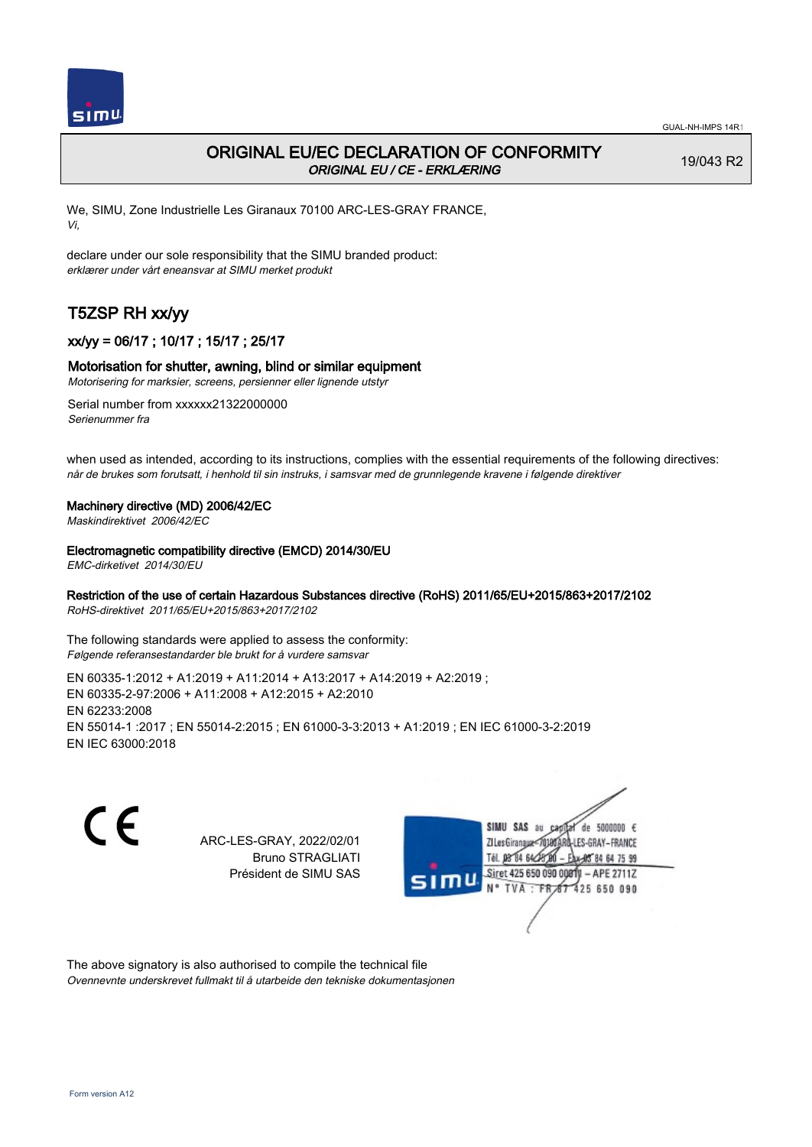

# ORIGINAL EU/EC DECLARATION OF CONFORMITY ORIGINAL EU / CE - ERKLÆRING

19/043 R2

We, SIMU, Zone Industrielle Les Giranaux 70100 ARC-LES-GRAY FRANCE, Vi,

declare under our sole responsibility that the SIMU branded product: erklærer under vårt eneansvar at SIMU merket produkt

# T5ZSP RH xx/yy

### xx/yy = 06/17 ; 10/17 ; 15/17 ; 25/17

#### Motorisation for shutter, awning, blind or similar equipment

Motorisering for marksier, screens, persienner eller lignende utstyr

Serial number from xxxxxx21322000000 Serienummer fra

when used as intended, according to its instructions, complies with the essential requirements of the following directives: når de brukes som forutsatt, i henhold til sin instruks, i samsvar med de grunnlegende kravene i følgende direktiver

#### Machinery directive (MD) 2006/42/EC

Maskindirektivet 2006/42/EC

#### Electromagnetic compatibility directive (EMCD) 2014/30/EU

EMC-dirketivet 2014/30/EU

### Restriction of the use of certain Hazardous Substances directive (RoHS) 2011/65/EU+2015/863+2017/2102

RoHS-direktivet 2011/65/EU+2015/863+2017/2102

The following standards were applied to assess the conformity: Følgende referansestandarder ble brukt for å vurdere samsvar

EN 60335‑1:2012 + A1:2019 + A11:2014 + A13:2017 + A14:2019 + A2:2019 ; EN 60335‑2‑97:2006 + A11:2008 + A12:2015 + A2:2010 EN 62233:2008 EN 55014‑1 :2017 ; EN 55014‑2:2015 ; EN 61000‑3‑3:2013 + A1:2019 ; EN IEC 61000‑3‑2:2019 EN IEC 63000:2018

C E

ARC-LES-GRAY, 2022/02/01 Bruno STRAGLIATI Président de SIMU SAS



The above signatory is also authorised to compile the technical file Ovennevnte underskrevet fullmakt til å utarbeide den tekniske dokumentasjonen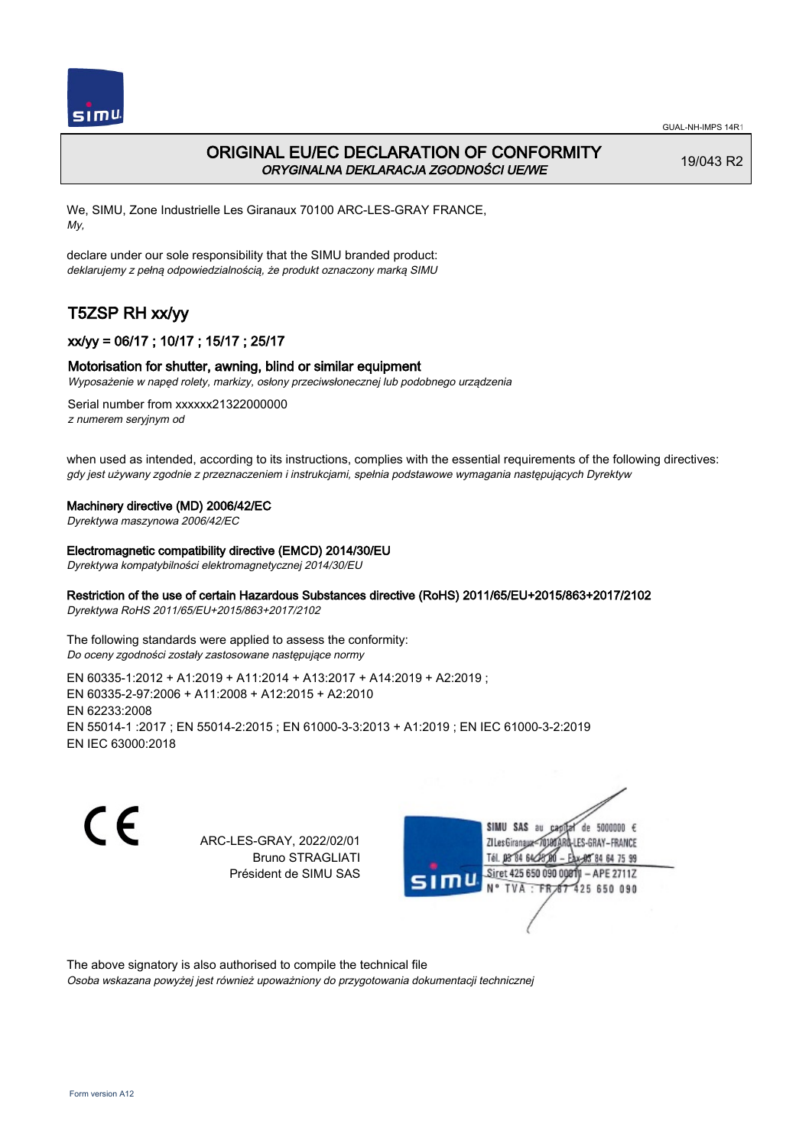

## ORIGINAL EU/EC DECLARATION OF CONFORMITY ORYGINALNA DEKLARACJA ZGODNOŚCI UE/WE

19/043 R2

We, SIMU, Zone Industrielle Les Giranaux 70100 ARC-LES-GRAY FRANCE, My,

declare under our sole responsibility that the SIMU branded product: deklarujemy z pełną odpowiedzialnością, że produkt oznaczony marką SIMU

# T5ZSP RH xx/yy

### xx/yy = 06/17 ; 10/17 ; 15/17 ; 25/17

#### Motorisation for shutter, awning, blind or similar equipment

Wyposażenie w napęd rolety, markizy, osłony przeciwsłonecznej lub podobnego urządzenia

Serial number from xxxxxx21322000000 z numerem seryjnym od

when used as intended, according to its instructions, complies with the essential requirements of the following directives: gdy jest używany zgodnie z przeznaczeniem i instrukcjami, spełnia podstawowe wymagania następujących Dyrektyw

#### Machinery directive (MD) 2006/42/EC

Dyrektywa maszynowa 2006/42/EC

#### Electromagnetic compatibility directive (EMCD) 2014/30/EU

Dyrektywa kompatybilności elektromagnetycznej 2014/30/EU

#### Restriction of the use of certain Hazardous Substances directive (RoHS) 2011/65/EU+2015/863+2017/2102

Dyrektywa RoHS 2011/65/EU+2015/863+2017/2102

The following standards were applied to assess the conformity: Do oceny zgodności zostały zastosowane następujące normy

EN 60335‑1:2012 + A1:2019 + A11:2014 + A13:2017 + A14:2019 + A2:2019 ; EN 60335‑2‑97:2006 + A11:2008 + A12:2015 + A2:2010 EN 62233:2008 EN 55014‑1 :2017 ; EN 55014‑2:2015 ; EN 61000‑3‑3:2013 + A1:2019 ; EN IEC 61000‑3‑2:2019 EN IEC 63000:2018

C E

ARC-LES-GRAY, 2022/02/01 Bruno STRAGLIATI Président de SIMU SAS



The above signatory is also authorised to compile the technical file

Osoba wskazana powyżej jest również upoważniony do przygotowania dokumentacji technicznej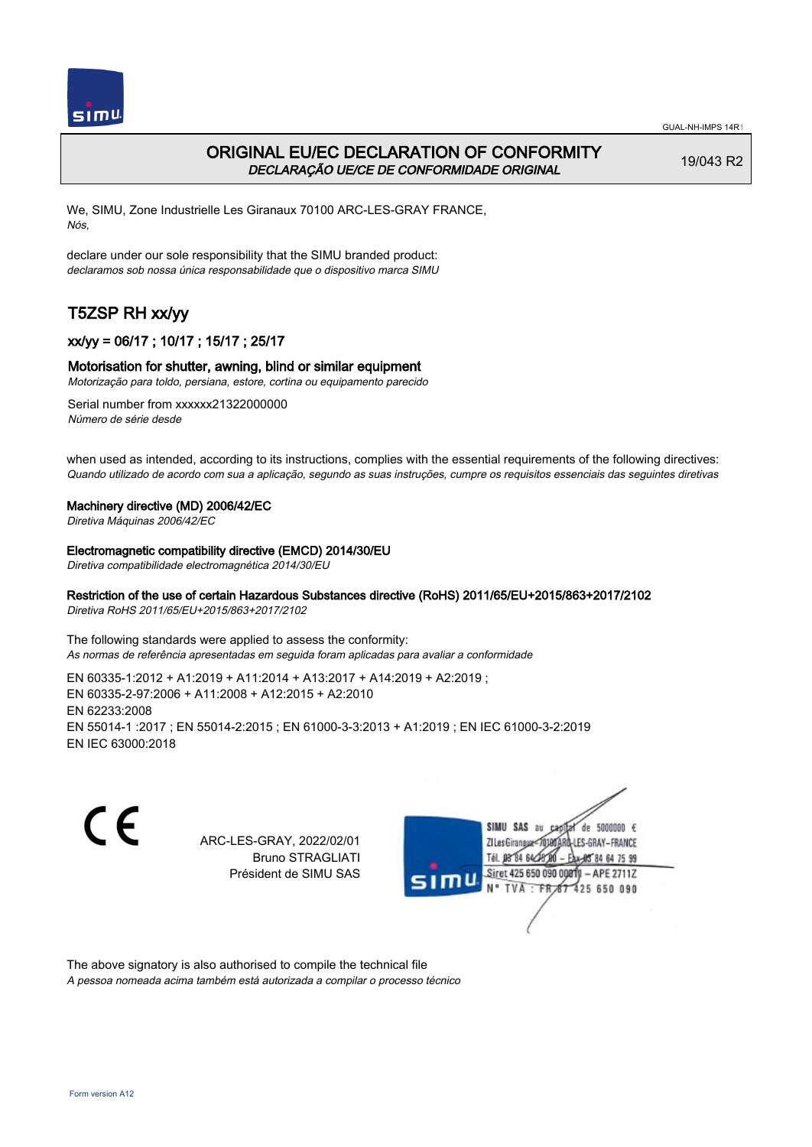

# ORIGINAL EU/EC DECLARATION OF CONFORMITY DECLARAÇÃO UE/CE DE CONFORMIDADE ORIGINAL

19/043 R2

We, SIMU, Zone Industrielle Les Giranaux 70100 ARC-LES-GRAY FRANCE, Nós,

declare under our sole responsibility that the SIMU branded product: declaramos sob nossa única responsabilidade que o dispositivo marca SIMU

# T5ZSP RH xx/yy

## xx/yy = 06/17 ; 10/17 ; 15/17 ; 25/17

#### Motorisation for shutter, awning, blind or similar equipment

Motorização para toldo, persiana, estore, cortina ou equipamento parecido

Serial number from xxxxxx21322000000 Número de série desde

when used as intended, according to its instructions, complies with the essential requirements of the following directives: Quando utilizado de acordo com sua a aplicação, segundo as suas instruções, cumpre os requisitos essenciais das seguintes diretivas

#### Machinery directive (MD) 2006/42/EC

Diretiva Máquinas 2006/42/EC

Electromagnetic compatibility directive (EMCD) 2014/30/EU

Diretiva compatibilidade electromagnética 2014/30/EU

#### Restriction of the use of certain Hazardous Substances directive (RoHS) 2011/65/EU+2015/863+2017/2102

Diretiva RoHS 2011/65/EU+2015/863+2017/2102

The following standards were applied to assess the conformity: As normas de referência apresentadas em seguida foram aplicadas para avaliar a conformidade

EN 60335‑1:2012 + A1:2019 + A11:2014 + A13:2017 + A14:2019 + A2:2019 ; EN 60335‑2‑97:2006 + A11:2008 + A12:2015 + A2:2010 EN 62233:2008 EN 55014‑1 :2017 ; EN 55014‑2:2015 ; EN 61000‑3‑3:2013 + A1:2019 ; EN IEC 61000‑3‑2:2019 EN IEC 63000:2018

C E

ARC-LES-GRAY, 2022/02/01 Bruno STRAGLIATI Président de SIMU SAS



The above signatory is also authorised to compile the technical file

A pessoa nomeada acima também está autorizada a compilar o processo técnico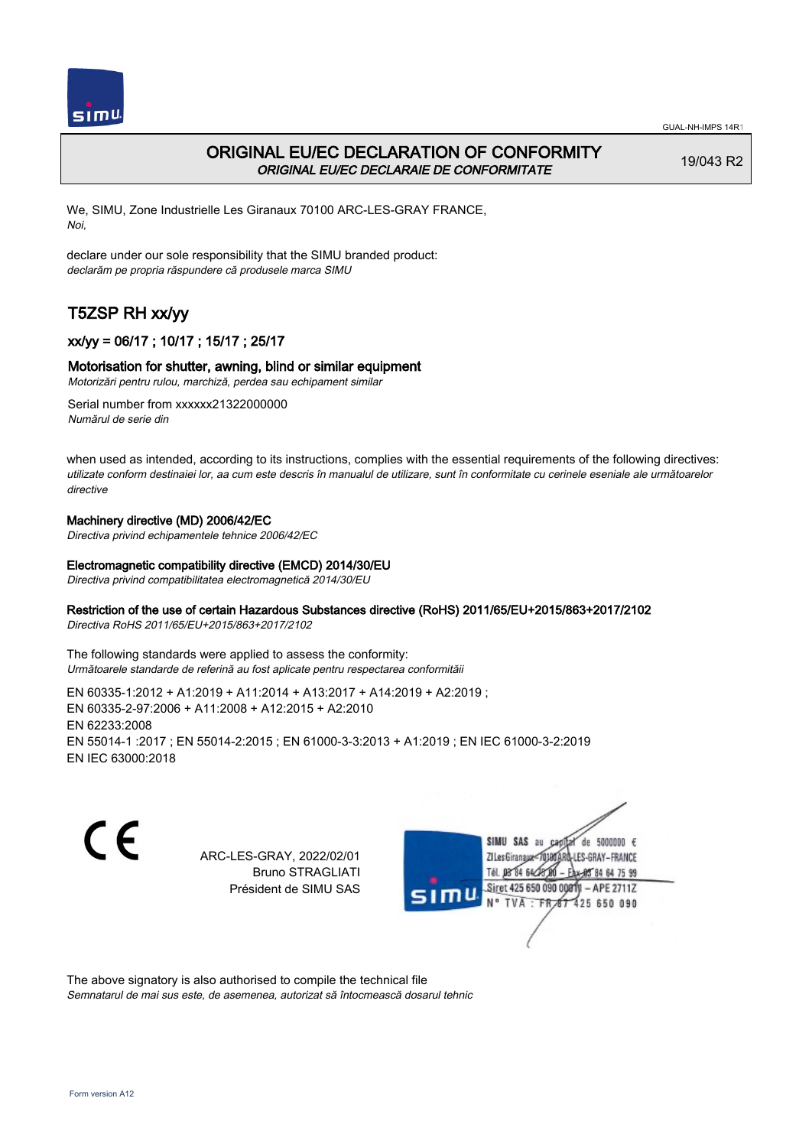



# ORIGINAL EU/EC DECLARATION OF CONFORMITY ORIGINAL EU/EC DECLARAIE DE CONFORMITATE

19/043 R2

We, SIMU, Zone Industrielle Les Giranaux 70100 ARC-LES-GRAY FRANCE, Noi,

declare under our sole responsibility that the SIMU branded product: declarăm pe propria răspundere că produsele marca SIMU

# T5ZSP RH xx/yy

## xx/yy = 06/17 ; 10/17 ; 15/17 ; 25/17

#### Motorisation for shutter, awning, blind or similar equipment

Motorizări pentru rulou, marchiză, perdea sau echipament similar

Serial number from xxxxxx21322000000 Numărul de serie din

when used as intended, according to its instructions, complies with the essential requirements of the following directives: utilizate conform destinaiei lor, aa cum este descris în manualul de utilizare, sunt în conformitate cu cerinele eseniale ale următoarelor directive

#### Machinery directive (MD) 2006/42/EC

Directiva privind echipamentele tehnice 2006/42/EC

#### Electromagnetic compatibility directive (EMCD) 2014/30/EU

Directiva privind compatibilitatea electromagnetică 2014/30/EU

#### Restriction of the use of certain Hazardous Substances directive (RoHS) 2011/65/EU+2015/863+2017/2102

Directiva RoHS 2011/65/EU+2015/863+2017/2102

The following standards were applied to assess the conformity: Următoarele standarde de referină au fost aplicate pentru respectarea conformităii

EN 60335‑1:2012 + A1:2019 + A11:2014 + A13:2017 + A14:2019 + A2:2019 ; EN 60335‑2‑97:2006 + A11:2008 + A12:2015 + A2:2010 EN 62233:2008 EN 55014‑1 :2017 ; EN 55014‑2:2015 ; EN 61000‑3‑3:2013 + A1:2019 ; EN IEC 61000‑3‑2:2019 EN IEC 63000:2018

CE

ARC-LES-GRAY, 2022/02/01 Bruno STRAGLIATI Président de SIMU SAS



The above signatory is also authorised to compile the technical file

Semnatarul de mai sus este, de asemenea, autorizat să întocmească dosarul tehnic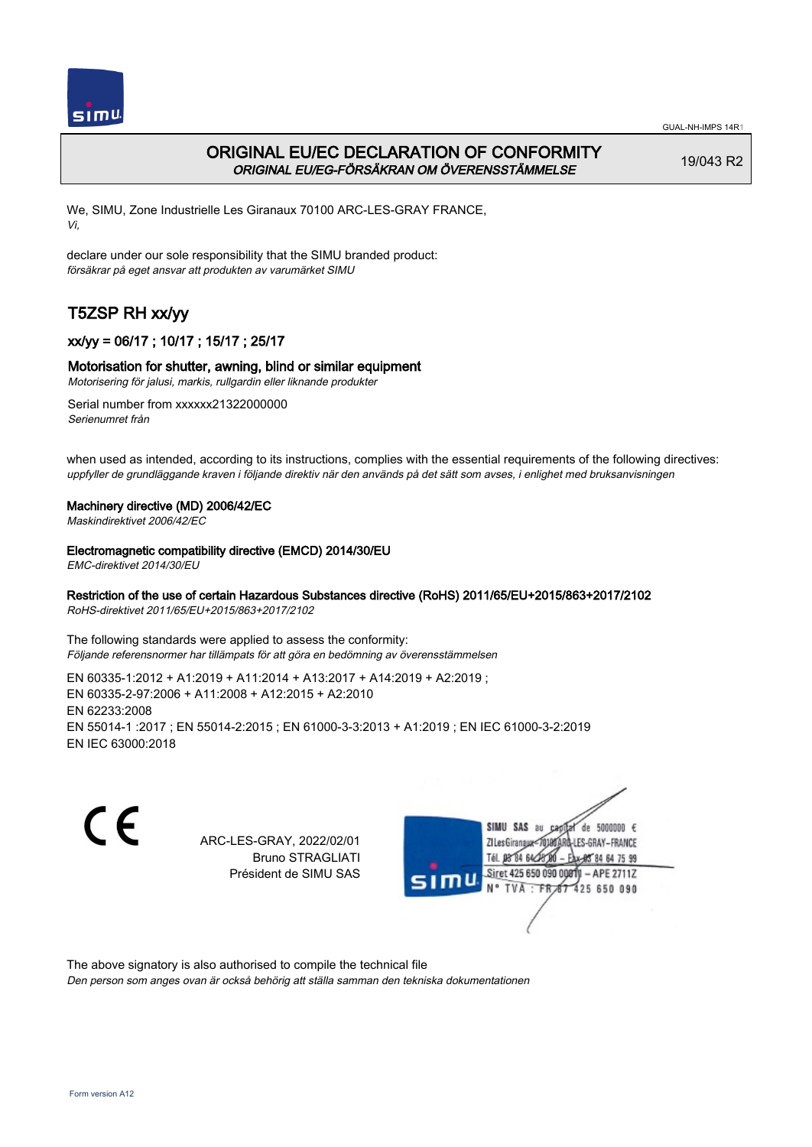

# ORIGINAL EU/EC DECLARATION OF CONFORMITY ORIGINAL EU/EG-FÖRSÄKRAN OM ÖVERENSSTÄMMELSE

19/043 R2

We, SIMU, Zone Industrielle Les Giranaux 70100 ARC-LES-GRAY FRANCE, Vi,

declare under our sole responsibility that the SIMU branded product: försäkrar på eget ansvar att produkten av varumärket SIMU

# T5ZSP RH xx/yy

## xx/yy = 06/17 ; 10/17 ; 15/17 ; 25/17

#### Motorisation for shutter, awning, blind or similar equipment

Motorisering för jalusi, markis, rullgardin eller liknande produkter

Serial number from xxxxxx21322000000 Serienumret från

when used as intended, according to its instructions, complies with the essential requirements of the following directives: uppfyller de grundläggande kraven i följande direktiv när den används på det sätt som avses, i enlighet med bruksanvisningen

#### Machinery directive (MD) 2006/42/EC

Maskindirektivet 2006/42/EC

#### Electromagnetic compatibility directive (EMCD) 2014/30/EU

EMC-direktivet 2014/30/EU

#### Restriction of the use of certain Hazardous Substances directive (RoHS) 2011/65/EU+2015/863+2017/2102

RoHS-direktivet 2011/65/EU+2015/863+2017/2102

The following standards were applied to assess the conformity: Följande referensnormer har tillämpats för att göra en bedömning av överensstämmelsen

EN 60335‑1:2012 + A1:2019 + A11:2014 + A13:2017 + A14:2019 + A2:2019 ; EN 60335‑2‑97:2006 + A11:2008 + A12:2015 + A2:2010 EN 62233:2008 EN 55014‑1 :2017 ; EN 55014‑2:2015 ; EN 61000‑3‑3:2013 + A1:2019 ; EN IEC 61000‑3‑2:2019 EN IEC 63000:2018

C E

ARC-LES-GRAY, 2022/02/01 Bruno STRAGLIATI Président de SIMU SAS



The above signatory is also authorised to compile the technical file

Den person som anges ovan är också behörig att ställa samman den tekniska dokumentationen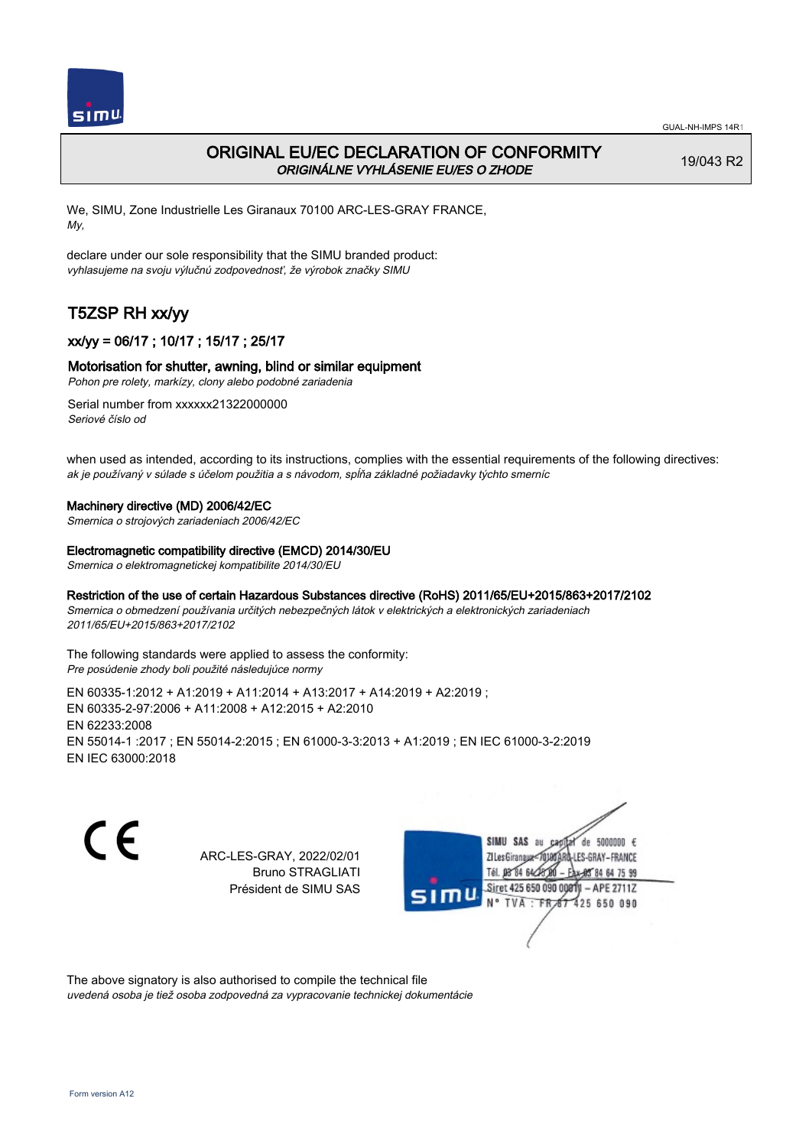

# ORIGINAL EU/EC DECLARATION OF CONFORMITY ORIGINÁLNE VYHLÁSENIE EU/ES O ZHODE

19/043 R2

We, SIMU, Zone Industrielle Les Giranaux 70100 ARC-LES-GRAY FRANCE, My,

declare under our sole responsibility that the SIMU branded product: vyhlasujeme na svoju výlučnú zodpovednosť, že výrobok značky SIMU

# T5ZSP RH xx/yy

## xx/yy = 06/17 ; 10/17 ; 15/17 ; 25/17

#### Motorisation for shutter, awning, blind or similar equipment

Pohon pre rolety, markízy, clony alebo podobné zariadenia

Serial number from xxxxxx21322000000 Seriové číslo od

when used as intended, according to its instructions, complies with the essential requirements of the following directives: ak je používaný v súlade s účelom použitia a s návodom, spĺňa základné požiadavky týchto smerníc

#### Machinery directive (MD) 2006/42/EC

Smernica o strojových zariadeniach 2006/42/EC

#### Electromagnetic compatibility directive (EMCD) 2014/30/EU

Smernica o elektromagnetickej kompatibilite 2014/30/EU

#### Restriction of the use of certain Hazardous Substances directive (RoHS) 2011/65/EU+2015/863+2017/2102

Smernica o obmedzení používania určitých nebezpečných látok v elektrických a elektronických zariadeniach 2011/65/EU+2015/863+2017/2102

The following standards were applied to assess the conformity: Pre posúdenie zhody boli použité následujúce normy

EN 60335‑1:2012 + A1:2019 + A11:2014 + A13:2017 + A14:2019 + A2:2019 ; EN 60335‑2‑97:2006 + A11:2008 + A12:2015 + A2:2010 EN 62233:2008 EN 55014‑1 :2017 ; EN 55014‑2:2015 ; EN 61000‑3‑3:2013 + A1:2019 ; EN IEC 61000‑3‑2:2019 EN IEC 63000:2018

CE

ARC-LES-GRAY, 2022/02/01 Bruno STRAGLIATI Président de SIMU SAS



The above signatory is also authorised to compile the technical file

uvedená osoba je tiež osoba zodpovedná za vypracovanie technickej dokumentácie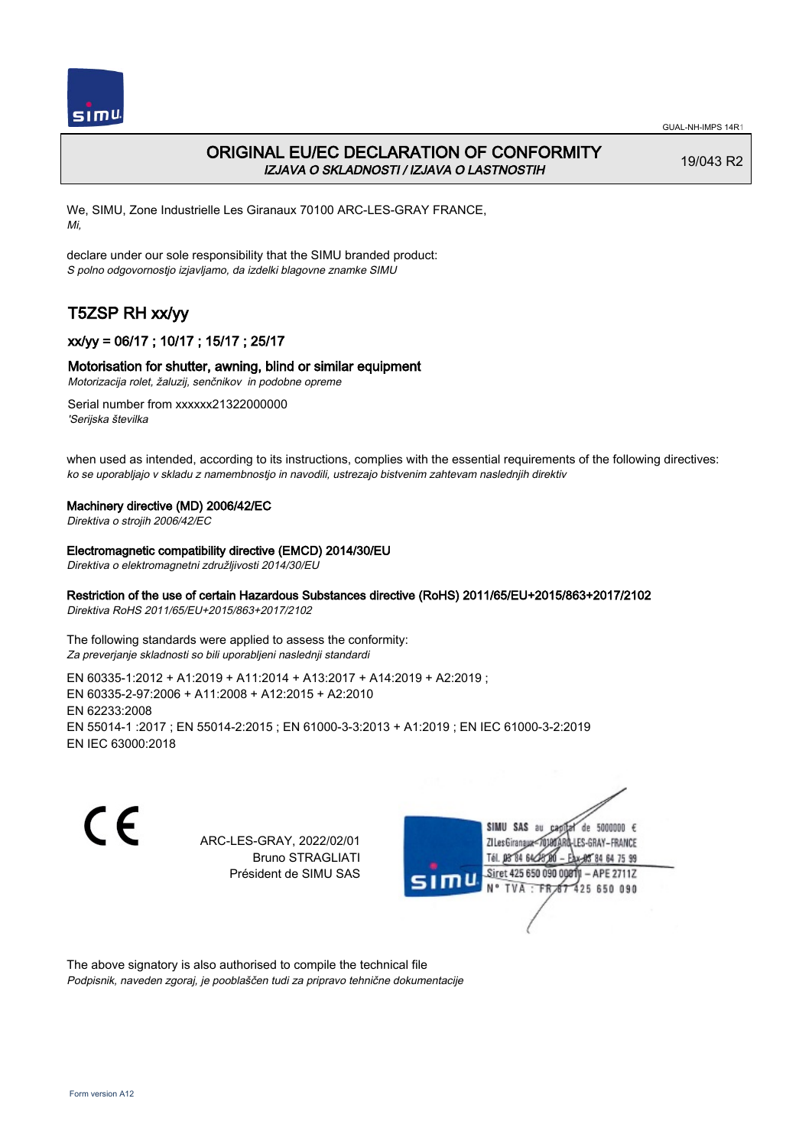

# ORIGINAL EU/EC DECLARATION OF CONFORMITY IZJAVA O SKLADNOSTI / IZJAVA O LASTNOSTIH

19/043 R2

We, SIMU, Zone Industrielle Les Giranaux 70100 ARC-LES-GRAY FRANCE, Mi,

declare under our sole responsibility that the SIMU branded product: S polno odgovornostjo izjavljamo, da izdelki blagovne znamke SIMU

# T5ZSP RH xx/yy

## xx/yy = 06/17 ; 10/17 ; 15/17 ; 25/17

### Motorisation for shutter, awning, blind or similar equipment

Motorizacija rolet, žaluzij, senčnikov in podobne opreme

Serial number from xxxxxx21322000000 'Serijska številka

when used as intended, according to its instructions, complies with the essential requirements of the following directives: ko se uporabljajo v skladu z namembnostjo in navodili, ustrezajo bistvenim zahtevam naslednjih direktiv

#### Machinery directive (MD) 2006/42/EC

Direktiva o strojih 2006/42/EC

#### Electromagnetic compatibility directive (EMCD) 2014/30/EU

Direktiva o elektromagnetni združljivosti 2014/30/EU

### Restriction of the use of certain Hazardous Substances directive (RoHS) 2011/65/EU+2015/863+2017/2102

Direktiva RoHS 2011/65/EU+2015/863+2017/2102

The following standards were applied to assess the conformity: Za preverjanje skladnosti so bili uporabljeni naslednji standardi

EN 60335‑1:2012 + A1:2019 + A11:2014 + A13:2017 + A14:2019 + A2:2019 ; EN 60335‑2‑97:2006 + A11:2008 + A12:2015 + A2:2010 EN 62233:2008 EN 55014‑1 :2017 ; EN 55014‑2:2015 ; EN 61000‑3‑3:2013 + A1:2019 ; EN IEC 61000‑3‑2:2019 EN IEC 63000:2018

C E

ARC-LES-GRAY, 2022/02/01 Bruno STRAGLIATI Président de SIMU SAS



The above signatory is also authorised to compile the technical file Podpisnik, naveden zgoraj, je pooblaščen tudi za pripravo tehnične dokumentacije